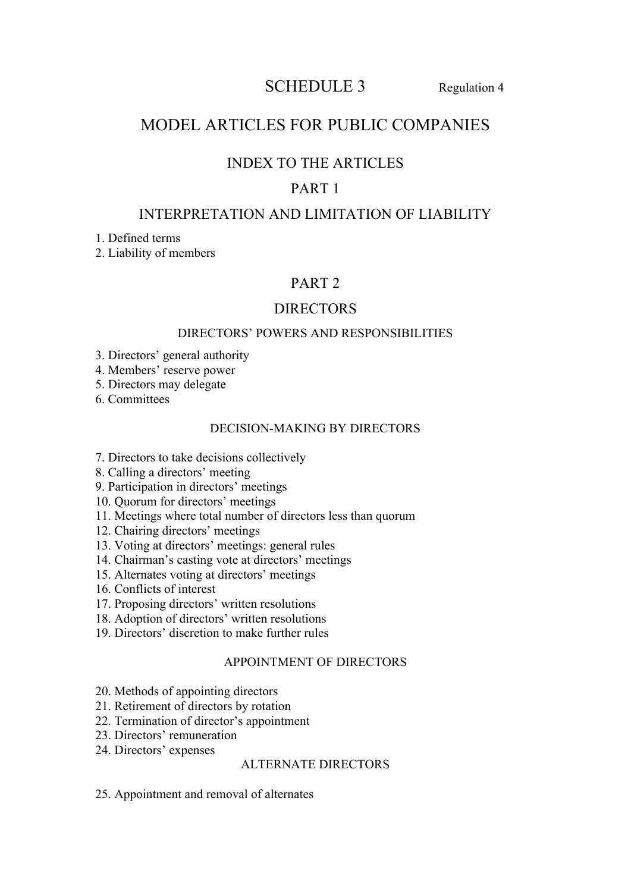# SCHEDULE 3 Regulation 4

# MODEL ARTICLES FOR PUBLIC COMPANIES

# INDEX TO THE ARTICLES

# PART 1

# INTERPRETATION AND LIMITATION OF LIABILITY

### 1. Defined terms

2. Liability of members

# PART 2

# **DIRECTORS**

# DIRECTORS' POWERS AND RESPONSIBILITIES

- 3. Directors' general authority
- 4. Members' reserve power
- 5. Directors may delegate
- 6. Committees

## DECISION-MAKING BY DIRECTORS

- 7. Directors to take decisions collectively
- 8. Calling a directors' meeting
- 9. Participation in directors' meetings
- 10. Quorum for directors' meetings
- 11. Meetings where total number of directors less than quorum
- 12. Chairing directors' meetings
- 13. Voting at directors' meetings: general rules
- 14. Chairman's casting vote at directors' meetings
- 15. Alternates voting at directors' meetings
- 16. Conflicts of interest
- 17. Proposing directors' written resolutions
- 18. Adoption of directors' written resolutions
- 19. Directors' discretion to make further rules

## APPOINTMENT OF DIRECTORS

- 20. Methods of appointing directors
- 21. Retirement of directors by rotation
- 22. Termination of director's appointment
- 23. Directors' remuneration
- 24. Directors' expenses

## ALTERNATE DIRECTORS

25. Appointment and removal of alternates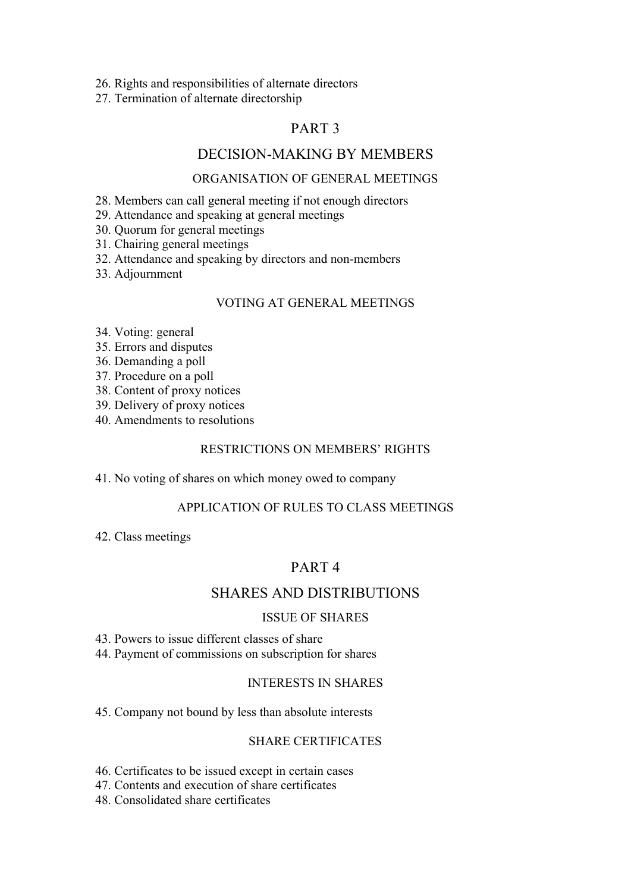#### 26. Rights and responsibilities of alternate directors

27. Termination of alternate directorship

# PART 3

## DECISION-MAKING BY MEMBERS

#### ORGANISATION OF GENERAL MEETINGS

28. Members can call general meeting if not enough directors

- 29. Attendance and speaking at general meetings
- 30. Quorum for general meetings
- 31. Chairing general meetings
- 32. Attendance and speaking by directors and non-members
- 33. Adjournment

### VOTING AT GENERAL MEETINGS

- 34. Voting: general
- 35. Errors and disputes
- 36. Demanding a poll
- 37. Procedure on a poll
- 38. Content of proxy notices
- 39. Delivery of proxy notices
- 40. Amendments to resolutions

#### RESTRICTIONS ON MEMBERS' RIGHTS

41. No voting of shares on which money owed to company

## APPLICATION OF RULES TO CLASS MEETINGS

42. Class meetings

# PART 4

## SHARES AND DISTRIBUTIONS

#### ISSUE OF SHARES

43. Powers to issue different classes of share

44. Payment of commissions on subscription for shares

## INTERESTS IN SHARES

45. Company not bound by less than absolute interests

#### SHARE CERTIFICATES

- 46. Certificates to be issued except in certain cases
- 47. Contents and execution of share certificates
- 48. Consolidated share certificates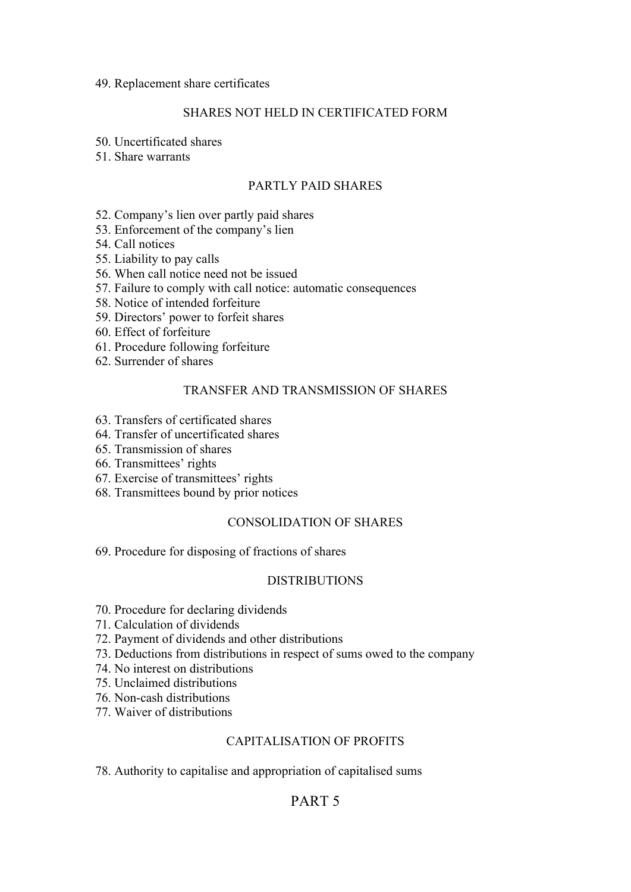#### 49. Replacement share certificates

## SHARES NOT HELD IN CERTIFICATED FORM

#### 50. Uncertificated shares

#### 51. Share warrants

## PARTLY PAID SHARES

- 52. Company's lien over partly paid shares
- 53. Enforcement of the company's lien
- 54. Call notices
- 55. Liability to pay calls
- 56. When call notice need not be issued
- 57. Failure to comply with call notice: automatic consequences
- 58. Notice of intended forfeiture
- 59. Directors' power to forfeit shares
- 60. Effect of forfeiture
- 61. Procedure following forfeiture
- 62. Surrender of shares

## TRANSFER AND TRANSMISSION OF SHARES

- 63. Transfers of certificated shares
- 64. Transfer of uncertificated shares
- 65. Transmission of shares
- 66. Transmittees' rights
- 67. Exercise of transmittees' rights
- 68. Transmittees bound by prior notices

## CONSOLIDATION OF SHARES

69. Procedure for disposing of fractions of shares

## DISTRIBUTIONS

- 70. Procedure for declaring dividends
- 71. Calculation of dividends
- 72. Payment of dividends and other distributions
- 73. Deductions from distributions in respect of sums owed to the company
- 74. No interest on distributions
- 75. Unclaimed distributions
- 76. Non-cash distributions
- 77. Waiver of distributions

## CAPITALISATION OF PROFITS

#### 78. Authority to capitalise and appropriation of capitalised sums

# PART 5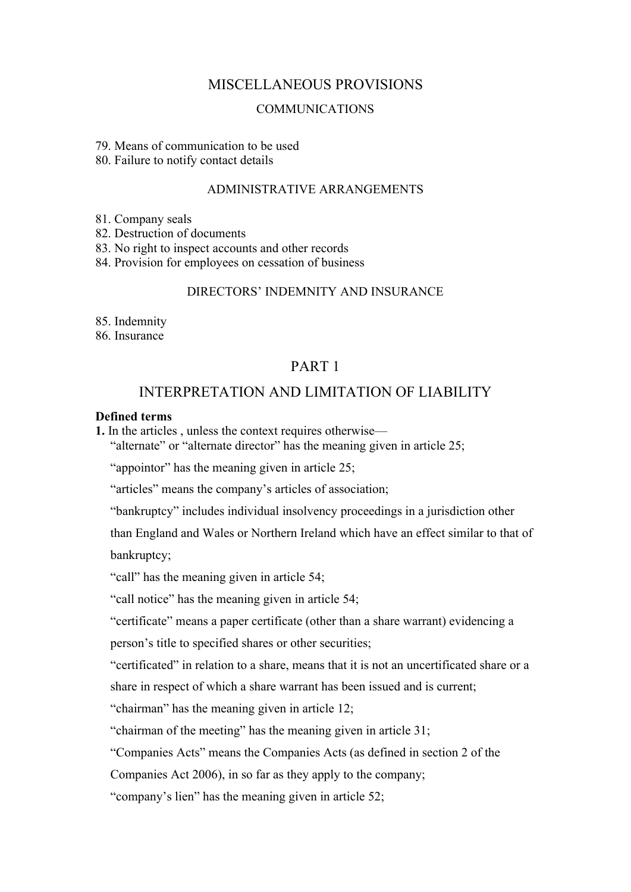# MISCELLANEOUS PROVISIONS

### COMMUNICATIONS

#### 79. Means of communication to be used

80. Failure to notify contact details

#### ADMINISTRATIVE ARRANGEMENTS

- 81. Company seals
- 82. Destruction of documents
- 83. No right to inspect accounts and other records
- 84. Provision for employees on cessation of business

#### DIRECTORS' INDEMNITY AND INSURANCE

85. Indemnity

86. Insurance

# PART 1

# INTERPRETATION AND LIMITATION OF LIABILITY

#### **Defined terms**

**1.** In the articles , unless the context requires otherwise—

"alternate" or "alternate director" has the meaning given in article 25;

"appointor" has the meaning given in article 25;

"articles" means the company's articles of association;

"bankruptcy" includes individual insolvency proceedings in a jurisdiction other

than England and Wales or Northern Ireland which have an effect similar to that of bankruptcy;

"call" has the meaning given in article 54;

"call notice" has the meaning given in article 54;

"certificate" means a paper certificate (other than a share warrant) evidencing a person's title to specified shares or other securities;

"certificated" in relation to a share, means that it is not an uncertificated share or a

share in respect of which a share warrant has been issued and is current;

"chairman" has the meaning given in article 12;

"chairman of the meeting" has the meaning given in article 31;

"Companies Acts" means the Companies Acts (as defined in section 2 of the

Companies Act 2006), in so far as they apply to the company;

"company's lien" has the meaning given in article 52;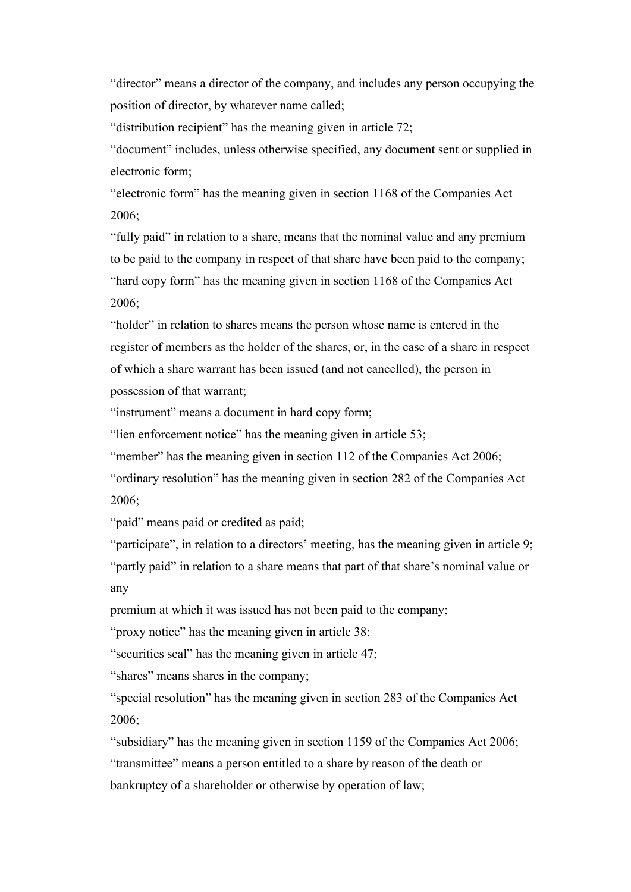"director" means a director of the company, and includes any person occupying the position of director, by whatever name called;

"distribution recipient" has the meaning given in article 72;

"document" includes, unless otherwise specified, any document sent or supplied in electronic form;

"electronic form" has the meaning given in section 1168 of the Companies Act 2006;

"fully paid" in relation to a share, means that the nominal value and any premium to be paid to the company in respect of that share have been paid to the company; "hard copy form" has the meaning given in section 1168 of the Companies Act 2006;

"holder" in relation to shares means the person whose name is entered in the register of members as the holder of the shares, or, in the case of a share in respect of which a share warrant has been issued (and not cancelled), the person in possession of that warrant;

"instrument" means a document in hard copy form;

"lien enforcement notice" has the meaning given in article 53;

"member" has the meaning given in section 112 of the Companies Act 2006;

"ordinary resolution" has the meaning given in section 282 of the Companies Act 2006;

"paid" means paid or credited as paid;

"participate", in relation to a directors' meeting, has the meaning given in article 9; "partly paid" in relation to a share means that part of that share's nominal value or any

premium at which it was issued has not been paid to the company;

"proxy notice" has the meaning given in article 38;

"securities seal" has the meaning given in article 47;

"shares" means shares in the company;

"special resolution" has the meaning given in section 283 of the Companies Act 2006;

"subsidiary" has the meaning given in section 1159 of the Companies Act 2006; "transmittee" means a person entitled to a share by reason of the death or bankruptcy of a shareholder or otherwise by operation of law;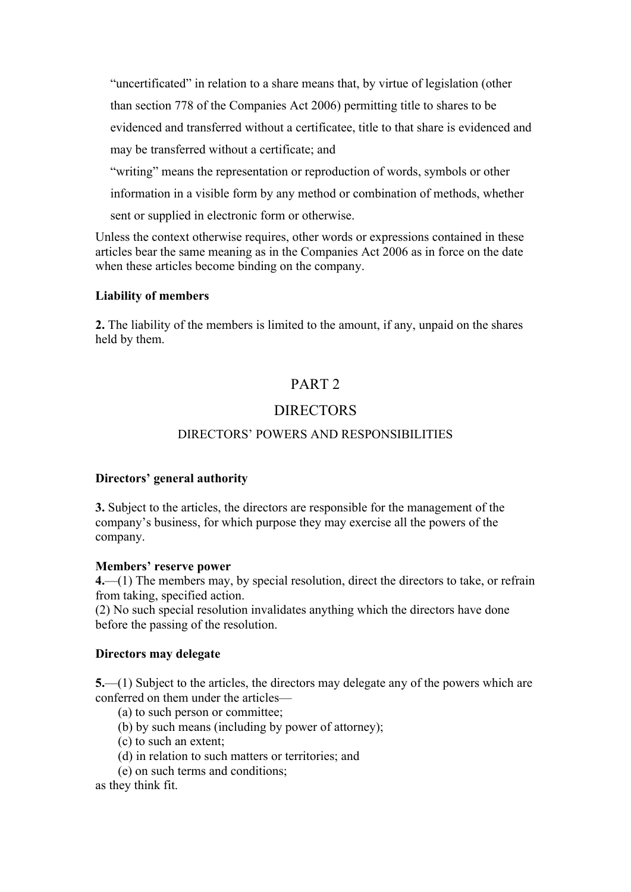"uncertificated" in relation to a share means that, by virtue of legislation (other than section 778 of the Companies Act 2006) permitting title to shares to be evidenced and transferred without a certificatee, title to that share is evidenced and may be transferred without a certificate; and

"writing" means the representation or reproduction of words, symbols or other information in a visible form by any method or combination of methods, whether sent or supplied in electronic form or otherwise.

Unless the context otherwise requires, other words or expressions contained in these articles bear the same meaning as in the Companies Act 2006 as in force on the date when these articles become binding on the company.

### **Liability of members**

**2.** The liability of the members is limited to the amount, if any, unpaid on the shares held by them.

# PART<sub>2</sub>

# DIRECTORS

## DIRECTORS' POWERS AND RESPONSIBILITIES

## **Directors' general authority**

**3.** Subject to the articles, the directors are responsible for the management of the company's business, for which purpose they may exercise all the powers of the company.

#### **Members' reserve power**

**4.**—(1) The members may, by special resolution, direct the directors to take, or refrain from taking, specified action.

(2) No such special resolution invalidates anything which the directors have done before the passing of the resolution.

## **Directors may delegate**

**5.**—(1) Subject to the articles, the directors may delegate any of the powers which are conferred on them under the articles—

- (a) to such person or committee;
- (b) by such means (including by power of attorney);
- (c) to such an extent;
- (d) in relation to such matters or territories; and
- (e) on such terms and conditions;

as they think fit.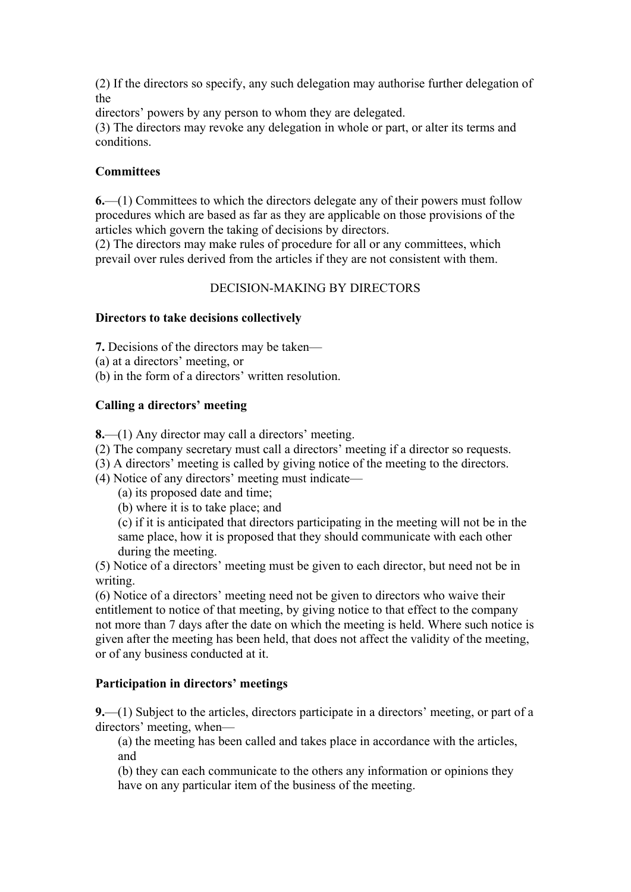(2) If the directors so specify, any such delegation may authorise further delegation of the

directors' powers by any person to whom they are delegated.

(3) The directors may revoke any delegation in whole or part, or alter its terms and conditions.

### **Committees**

**6.**—(1) Committees to which the directors delegate any of their powers must follow procedures which are based as far as they are applicable on those provisions of the articles which govern the taking of decisions by directors.

(2) The directors may make rules of procedure for all or any committees, which prevail over rules derived from the articles if they are not consistent with them.

## DECISION-MAKING BY DIRECTORS

### **Directors to take decisions collectively**

**7.** Decisions of the directors may be taken—

- (a) at a directors' meeting, or
- (b) in the form of a directors' written resolution.

## **Calling a directors' meeting**

**8.**—(1) Any director may call a directors' meeting.

- (2) The company secretary must call a directors' meeting if a director so requests.
- (3) A directors' meeting is called by giving notice of the meeting to the directors.
- (4) Notice of any directors' meeting must indicate—

(a) its proposed date and time;

(b) where it is to take place; and

(c) if it is anticipated that directors participating in the meeting will not be in the same place, how it is proposed that they should communicate with each other during the meeting.

(5) Notice of a directors' meeting must be given to each director, but need not be in writing.

(6) Notice of a directors' meeting need not be given to directors who waive their entitlement to notice of that meeting, by giving notice to that effect to the company not more than 7 days after the date on which the meeting is held. Where such notice is given after the meeting has been held, that does not affect the validity of the meeting, or of any business conducted at it.

## **Participation in directors' meetings**

**9.**—(1) Subject to the articles, directors participate in a directors' meeting, or part of a directors' meeting, when—

(a) the meeting has been called and takes place in accordance with the articles, and

(b) they can each communicate to the others any information or opinions they have on any particular item of the business of the meeting.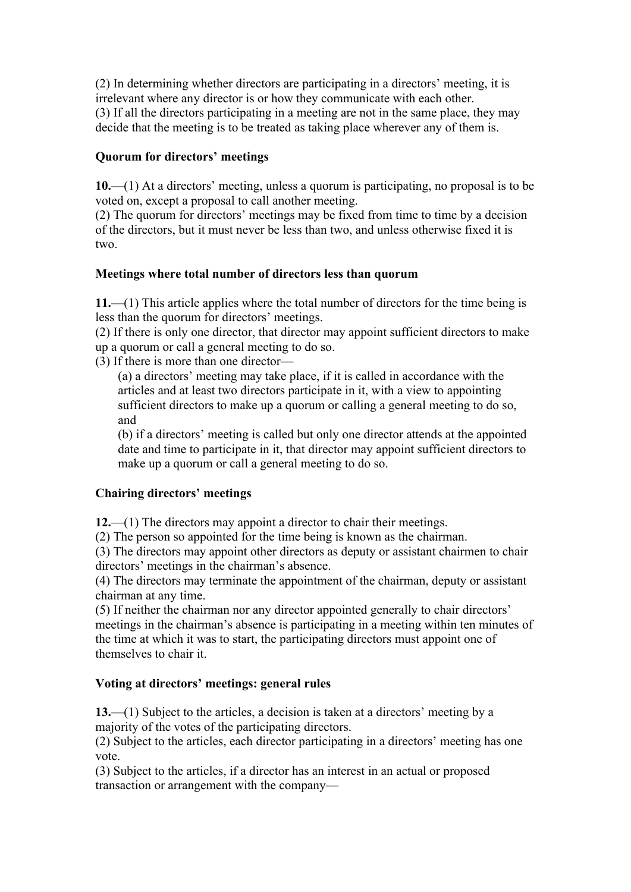(2) In determining whether directors are participating in a directors' meeting, it is irrelevant where any director is or how they communicate with each other. (3) If all the directors participating in a meeting are not in the same place, they may decide that the meeting is to be treated as taking place wherever any of them is.

## **Quorum for directors' meetings**

**10.**—(1) At a directors' meeting, unless a quorum is participating, no proposal is to be voted on, except a proposal to call another meeting.

(2) The quorum for directors' meetings may be fixed from time to time by a decision of the directors, but it must never be less than two, and unless otherwise fixed it is two.

## **Meetings where total number of directors less than quorum**

**11.**—(1) This article applies where the total number of directors for the time being is less than the quorum for directors' meetings.

(2) If there is only one director, that director may appoint sufficient directors to make up a quorum or call a general meeting to do so.

(3) If there is more than one director—

(a) a directors' meeting may take place, if it is called in accordance with the articles and at least two directors participate in it, with a view to appointing sufficient directors to make up a quorum or calling a general meeting to do so, and

(b) if a directors' meeting is called but only one director attends at the appointed date and time to participate in it, that director may appoint sufficient directors to make up a quorum or call a general meeting to do so.

## **Chairing directors' meetings**

**12.**—(1) The directors may appoint a director to chair their meetings.

(2) The person so appointed for the time being is known as the chairman.

(3) The directors may appoint other directors as deputy or assistant chairmen to chair directors' meetings in the chairman's absence.

(4) The directors may terminate the appointment of the chairman, deputy or assistant chairman at any time.

(5) If neither the chairman nor any director appointed generally to chair directors' meetings in the chairman's absence is participating in a meeting within ten minutes of the time at which it was to start, the participating directors must appoint one of themselves to chair it.

# **Voting at directors' meetings: general rules**

**13.**—(1) Subject to the articles, a decision is taken at a directors' meeting by a majority of the votes of the participating directors.

(2) Subject to the articles, each director participating in a directors' meeting has one vote.

(3) Subject to the articles, if a director has an interest in an actual or proposed transaction or arrangement with the company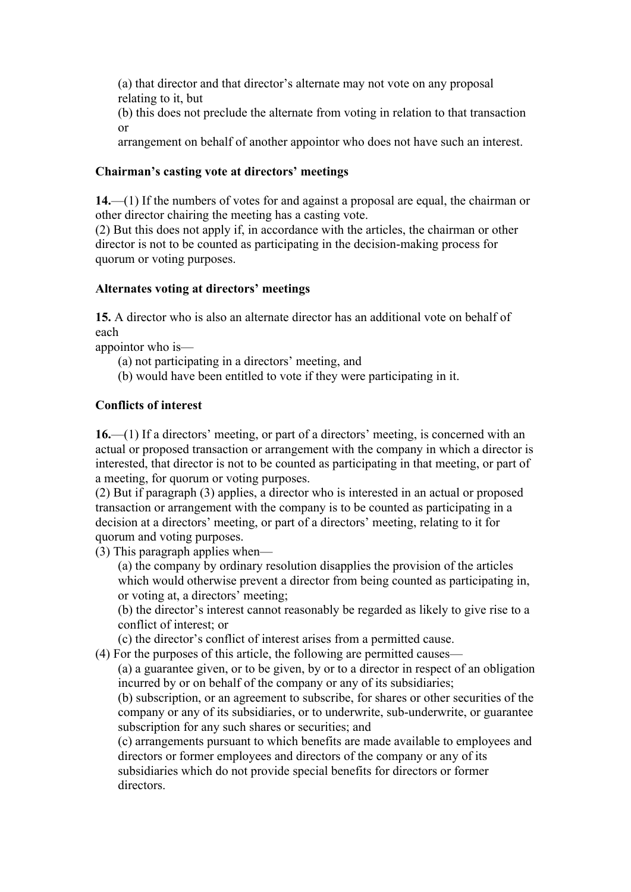(a) that director and that director's alternate may not vote on any proposal relating to it, but

(b) this does not preclude the alternate from voting in relation to that transaction or

arrangement on behalf of another appointor who does not have such an interest.

## **Chairman's casting vote at directors' meetings**

**14.**—(1) If the numbers of votes for and against a proposal are equal, the chairman or other director chairing the meeting has a casting vote.

(2) But this does not apply if, in accordance with the articles, the chairman or other director is not to be counted as participating in the decision-making process for quorum or voting purposes.

## **Alternates voting at directors' meetings**

**15.** A director who is also an alternate director has an additional vote on behalf of each

appointor who is—

- (a) not participating in a directors' meeting, and
- (b) would have been entitled to vote if they were participating in it.

# **Conflicts of interest**

**16.**—(1) If a directors' meeting, or part of a directors' meeting, is concerned with an actual or proposed transaction or arrangement with the company in which a director is interested, that director is not to be counted as participating in that meeting, or part of a meeting, for quorum or voting purposes.

(2) But if paragraph (3) applies, a director who is interested in an actual or proposed transaction or arrangement with the company is to be counted as participating in a decision at a directors' meeting, or part of a directors' meeting, relating to it for quorum and voting purposes.

(3) This paragraph applies when—

(a) the company by ordinary resolution disapplies the provision of the articles which would otherwise prevent a director from being counted as participating in, or voting at, a directors' meeting;

(b) the director's interest cannot reasonably be regarded as likely to give rise to a conflict of interest; or

(c) the director's conflict of interest arises from a permitted cause.

(4) For the purposes of this article, the following are permitted causes—

(a) a guarantee given, or to be given, by or to a director in respect of an obligation incurred by or on behalf of the company or any of its subsidiaries;

(b) subscription, or an agreement to subscribe, for shares or other securities of the company or any of its subsidiaries, or to underwrite, sub-underwrite, or guarantee subscription for any such shares or securities; and

(c) arrangements pursuant to which benefits are made available to employees and directors or former employees and directors of the company or any of its

subsidiaries which do not provide special benefits for directors or former directors.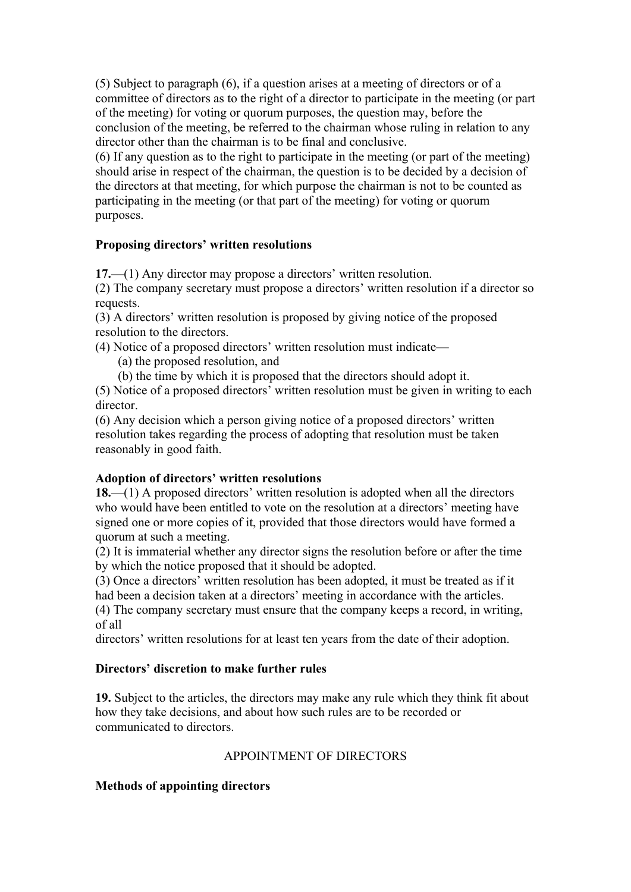(5) Subject to paragraph (6), if a question arises at a meeting of directors or of a committee of directors as to the right of a director to participate in the meeting (or part of the meeting) for voting or quorum purposes, the question may, before the conclusion of the meeting, be referred to the chairman whose ruling in relation to any director other than the chairman is to be final and conclusive.

(6) If any question as to the right to participate in the meeting (or part of the meeting) should arise in respect of the chairman, the question is to be decided by a decision of the directors at that meeting, for which purpose the chairman is not to be counted as participating in the meeting (or that part of the meeting) for voting or quorum purposes.

## **Proposing directors' written resolutions**

**17.**—(1) Any director may propose a directors' written resolution.

(2) The company secretary must propose a directors' written resolution if a director so requests.

(3) A directors' written resolution is proposed by giving notice of the proposed resolution to the directors.

(4) Notice of a proposed directors' written resolution must indicate—

- (a) the proposed resolution, and
- (b) the time by which it is proposed that the directors should adopt it.

(5) Notice of a proposed directors' written resolution must be given in writing to each director.

(6) Any decision which a person giving notice of a proposed directors' written resolution takes regarding the process of adopting that resolution must be taken reasonably in good faith.

## **Adoption of directors' written resolutions**

**18.**—(1) A proposed directors' written resolution is adopted when all the directors who would have been entitled to vote on the resolution at a directors' meeting have signed one or more copies of it, provided that those directors would have formed a quorum at such a meeting.

(2) It is immaterial whether any director signs the resolution before or after the time by which the notice proposed that it should be adopted.

(3) Once a directors' written resolution has been adopted, it must be treated as if it had been a decision taken at a directors' meeting in accordance with the articles. (4) The company secretary must ensure that the company keeps a record, in writing,

of all

directors' written resolutions for at least ten years from the date of their adoption.

## **Directors' discretion to make further rules**

**19.** Subject to the articles, the directors may make any rule which they think fit about how they take decisions, and about how such rules are to be recorded or communicated to directors.

# APPOINTMENT OF DIRECTORS

# **Methods of appointing directors**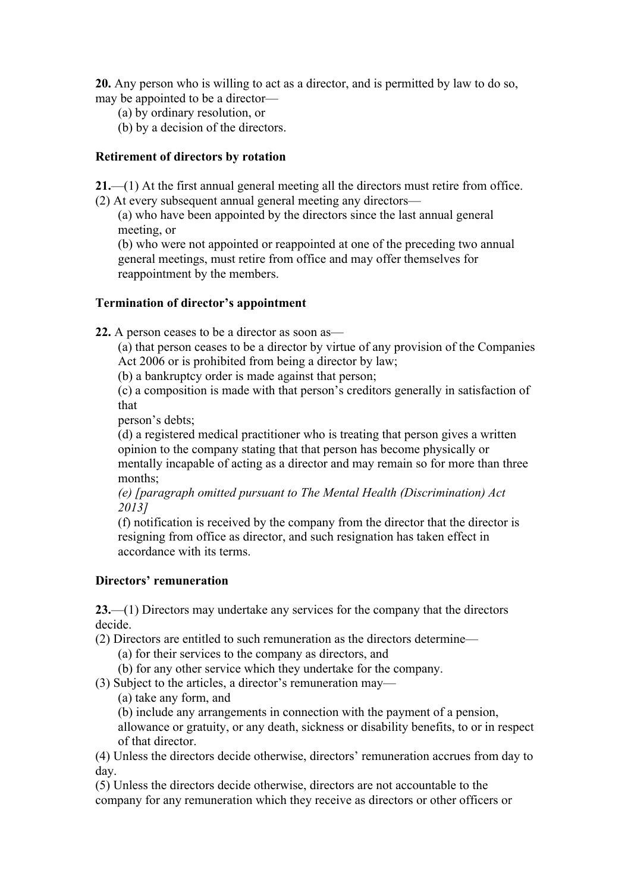**20.** Any person who is willing to act as a director, and is permitted by law to do so, may be appointed to be a director—

- (a) by ordinary resolution, or
- (b) by a decision of the directors.

### **Retirement of directors by rotation**

**21.**—(1) At the first annual general meeting all the directors must retire from office. (2) At every subsequent annual general meeting any directors—

(a) who have been appointed by the directors since the last annual general meeting, or

(b) who were not appointed or reappointed at one of the preceding two annual general meetings, must retire from office and may offer themselves for reappointment by the members.

### **Termination of director's appointment**

**22.** A person ceases to be a director as soon as—

(a) that person ceases to be a director by virtue of any provision of the Companies Act 2006 or is prohibited from being a director by law;

(b) a bankruptcy order is made against that person;

(c) a composition is made with that person's creditors generally in satisfaction of that

person's debts;

(d) a registered medical practitioner who is treating that person gives a written opinion to the company stating that that person has become physically or mentally incapable of acting as a director and may remain so for more than three months;

*(e) [paragraph omitted pursuant to The Mental Health (Discrimination) Act 2013]*

(f) notification is received by the company from the director that the director is resigning from office as director, and such resignation has taken effect in accordance with its terms.

## **Directors' remuneration**

**23.**—(1) Directors may undertake any services for the company that the directors decide.

(2) Directors are entitled to such remuneration as the directors determine—

(a) for their services to the company as directors, and

(b) for any other service which they undertake for the company.

(3) Subject to the articles, a director's remuneration may—

(a) take any form, and

(b) include any arrangements in connection with the payment of a pension,

allowance or gratuity, or any death, sickness or disability benefits, to or in respect of that director.

(4) Unless the directors decide otherwise, directors' remuneration accrues from day to day.

(5) Unless the directors decide otherwise, directors are not accountable to the company for any remuneration which they receive as directors or other officers or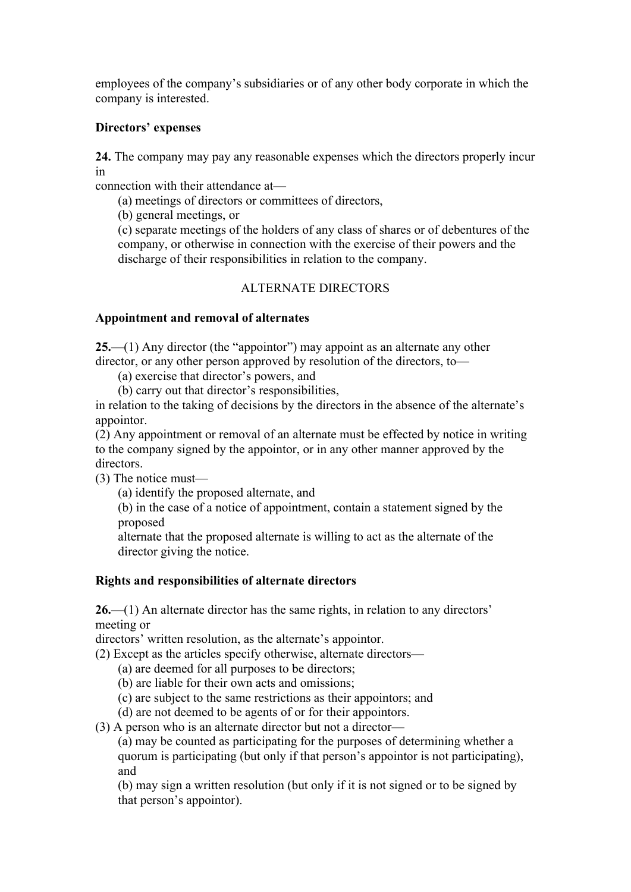employees of the company's subsidiaries or of any other body corporate in which the company is interested.

## **Directors' expenses**

**24.** The company may pay any reasonable expenses which the directors properly incur in

connection with their attendance at—

(a) meetings of directors or committees of directors,

(b) general meetings, or

(c) separate meetings of the holders of any class of shares or of debentures of the company, or otherwise in connection with the exercise of their powers and the discharge of their responsibilities in relation to the company.

# ALTERNATE DIRECTORS

## **Appointment and removal of alternates**

**25.**—(1) Any director (the "appointor") may appoint as an alternate any other director, or any other person approved by resolution of the directors, to—

(a) exercise that director's powers, and

(b) carry out that director's responsibilities,

in relation to the taking of decisions by the directors in the absence of the alternate's appointor.

(2) Any appointment or removal of an alternate must be effected by notice in writing to the company signed by the appointor, or in any other manner approved by the directors.

(3) The notice must—

(a) identify the proposed alternate, and

(b) in the case of a notice of appointment, contain a statement signed by the proposed

alternate that the proposed alternate is willing to act as the alternate of the director giving the notice.

## **Rights and responsibilities of alternate directors**

**26.**—(1) An alternate director has the same rights, in relation to any directors' meeting or

directors' written resolution, as the alternate's appointor.

(2) Except as the articles specify otherwise, alternate directors—

(a) are deemed for all purposes to be directors;

(b) are liable for their own acts and omissions;

(c) are subject to the same restrictions as their appointors; and

(d) are not deemed to be agents of or for their appointors.

(3) A person who is an alternate director but not a director—

(a) may be counted as participating for the purposes of determining whether a quorum is participating (but only if that person's appointor is not participating), and

(b) may sign a written resolution (but only if it is not signed or to be signed by that person's appointor).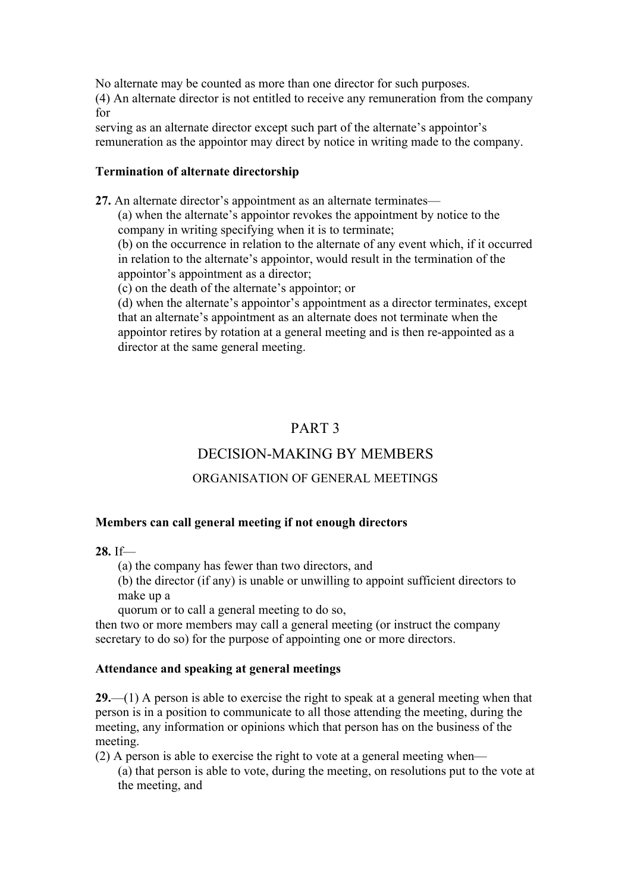No alternate may be counted as more than one director for such purposes.

(4) An alternate director is not entitled to receive any remuneration from the company for

serving as an alternate director except such part of the alternate's appointor's remuneration as the appointor may direct by notice in writing made to the company.

#### **Termination of alternate directorship**

**27.** An alternate director's appointment as an alternate terminates—

(a) when the alternate's appointor revokes the appointment by notice to the company in writing specifying when it is to terminate;

(b) on the occurrence in relation to the alternate of any event which, if it occurred in relation to the alternate's appointor, would result in the termination of the appointor's appointment as a director;

(c) on the death of the alternate's appointor; or

(d) when the alternate's appointor's appointment as a director terminates, except that an alternate's appointment as an alternate does not terminate when the appointor retires by rotation at a general meeting and is then re-appointed as a director at the same general meeting.

# PART 3

# DECISION-MAKING BY MEMBERS

## ORGANISATION OF GENERAL MEETINGS

#### **Members can call general meeting if not enough directors**

**28.** If—

(a) the company has fewer than two directors, and

(b) the director (if any) is unable or unwilling to appoint sufficient directors to make up a

quorum or to call a general meeting to do so,

then two or more members may call a general meeting (or instruct the company secretary to do so) for the purpose of appointing one or more directors.

#### **Attendance and speaking at general meetings**

**29.**—(1) A person is able to exercise the right to speak at a general meeting when that person is in a position to communicate to all those attending the meeting, during the meeting, any information or opinions which that person has on the business of the meeting.

(2) A person is able to exercise the right to vote at a general meeting when—

(a) that person is able to vote, during the meeting, on resolutions put to the vote at the meeting, and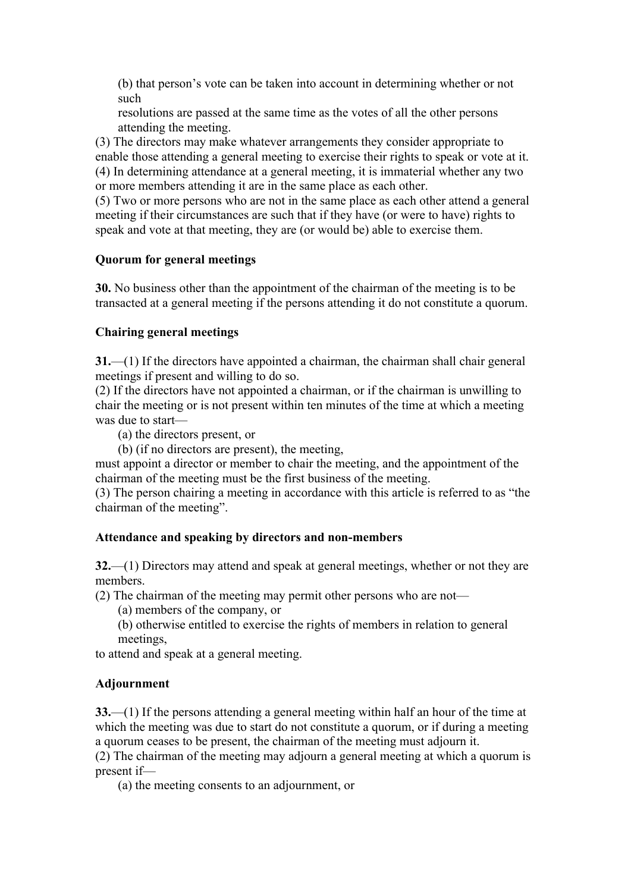(b) that person's vote can be taken into account in determining whether or not such

resolutions are passed at the same time as the votes of all the other persons attending the meeting.

(3) The directors may make whatever arrangements they consider appropriate to enable those attending a general meeting to exercise their rights to speak or vote at it. (4) In determining attendance at a general meeting, it is immaterial whether any two or more members attending it are in the same place as each other.

(5) Two or more persons who are not in the same place as each other attend a general meeting if their circumstances are such that if they have (or were to have) rights to speak and vote at that meeting, they are (or would be) able to exercise them.

## **Quorum for general meetings**

**30.** No business other than the appointment of the chairman of the meeting is to be transacted at a general meeting if the persons attending it do not constitute a quorum.

### **Chairing general meetings**

**31.**—(1) If the directors have appointed a chairman, the chairman shall chair general meetings if present and willing to do so.

(2) If the directors have not appointed a chairman, or if the chairman is unwilling to chair the meeting or is not present within ten minutes of the time at which a meeting was due to start—

(a) the directors present, or

(b) (if no directors are present), the meeting,

must appoint a director or member to chair the meeting, and the appointment of the chairman of the meeting must be the first business of the meeting.

(3) The person chairing a meeting in accordance with this article is referred to as "the chairman of the meeting".

## **Attendance and speaking by directors and non-members**

**32.**—(1) Directors may attend and speak at general meetings, whether or not they are members.

(2) The chairman of the meeting may permit other persons who are not—

(a) members of the company, or

(b) otherwise entitled to exercise the rights of members in relation to general meetings,

to attend and speak at a general meeting.

## **Adjournment**

**33.**—(1) If the persons attending a general meeting within half an hour of the time at which the meeting was due to start do not constitute a quorum, or if during a meeting a quorum ceases to be present, the chairman of the meeting must adjourn it.

(2) The chairman of the meeting may adjourn a general meeting at which a quorum is present if—

(a) the meeting consents to an adjournment, or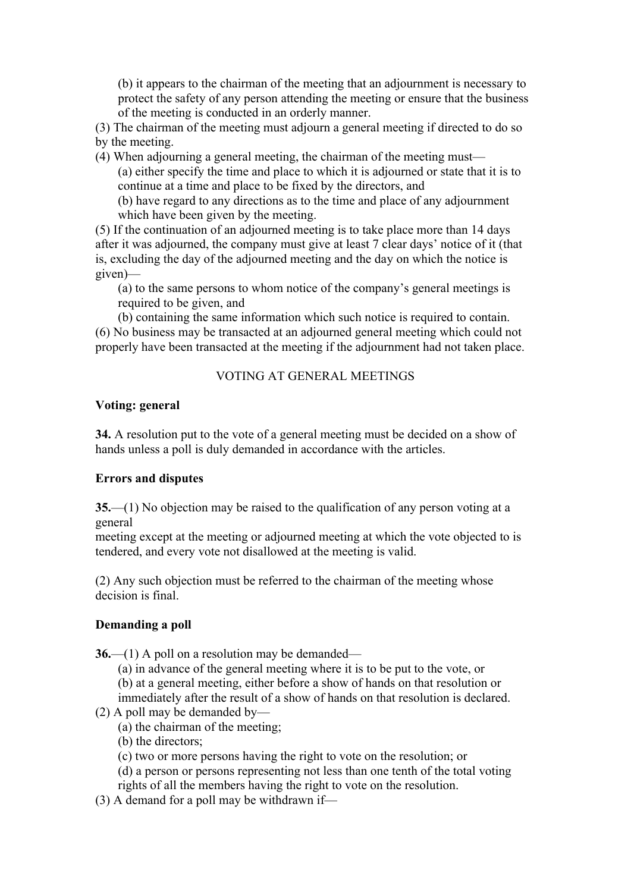(b) it appears to the chairman of the meeting that an adjournment is necessary to protect the safety of any person attending the meeting or ensure that the business of the meeting is conducted in an orderly manner.

(3) The chairman of the meeting must adjourn a general meeting if directed to do so by the meeting.

(4) When adjourning a general meeting, the chairman of the meeting must— (a) either specify the time and place to which it is adjourned or state that it is to continue at a time and place to be fixed by the directors, and (b) have regard to any directions as to the time and place of any adjournment

which have been given by the meeting.

(5) If the continuation of an adjourned meeting is to take place more than 14 days after it was adjourned, the company must give at least 7 clear days' notice of it (that is, excluding the day of the adjourned meeting and the day on which the notice is given)—

(a) to the same persons to whom notice of the company's general meetings is required to be given, and

(b) containing the same information which such notice is required to contain. (6) No business may be transacted at an adjourned general meeting which could not properly have been transacted at the meeting if the adjournment had not taken place.

## VOTING AT GENERAL MEETINGS

## **Voting: general**

**34.** A resolution put to the vote of a general meeting must be decided on a show of hands unless a poll is duly demanded in accordance with the articles.

## **Errors and disputes**

**35.**—(1) No objection may be raised to the qualification of any person voting at a general

meeting except at the meeting or adjourned meeting at which the vote objected to is tendered, and every vote not disallowed at the meeting is valid.

(2) Any such objection must be referred to the chairman of the meeting whose decision is final.

## **Demanding a poll**

**36.**—(1) A poll on a resolution may be demanded—

(a) in advance of the general meeting where it is to be put to the vote, or

(b) at a general meeting, either before a show of hands on that resolution or immediately after the result of a show of hands on that resolution is declared.

- (2) A poll may be demanded by—
	- (a) the chairman of the meeting;

(b) the directors;

(c) two or more persons having the right to vote on the resolution; or

(d) a person or persons representing not less than one tenth of the total voting rights of all the members having the right to vote on the resolution.

(3) A demand for a poll may be withdrawn if—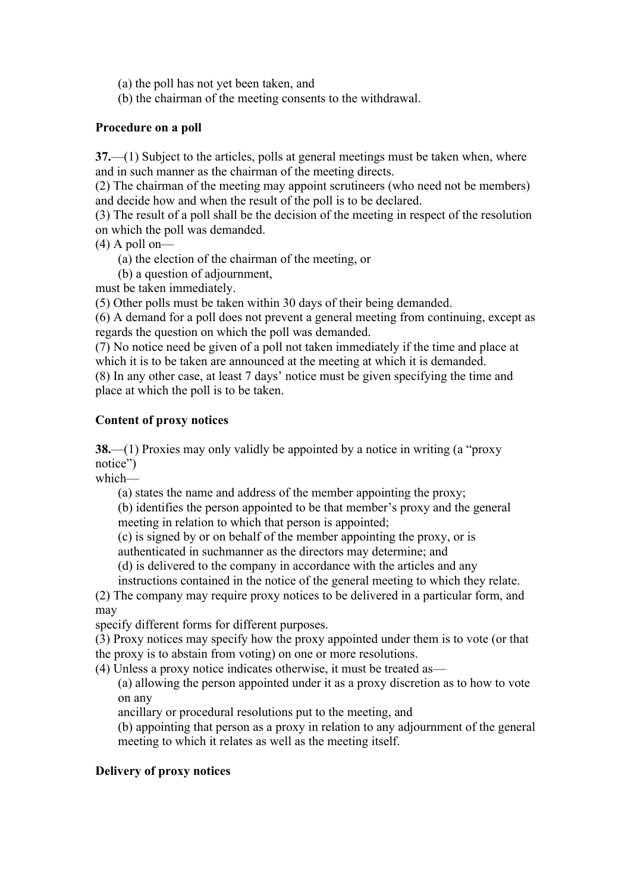(a) the poll has not yet been taken, and

(b) the chairman of the meeting consents to the withdrawal.

#### **Procedure on a poll**

**37.**—(1) Subject to the articles, polls at general meetings must be taken when, where and in such manner as the chairman of the meeting directs.

(2) The chairman of the meeting may appoint scrutineers (who need not be members) and decide how and when the result of the poll is to be declared.

(3) The result of a poll shall be the decision of the meeting in respect of the resolution on which the poll was demanded.

 $(4)$  A poll on—

(a) the election of the chairman of the meeting, or

(b) a question of adjournment,

must be taken immediately.

(5) Other polls must be taken within 30 days of their being demanded.

(6) A demand for a poll does not prevent a general meeting from continuing, except as regards the question on which the poll was demanded.

(7) No notice need be given of a poll not taken immediately if the time and place at which it is to be taken are announced at the meeting at which it is demanded.

(8) In any other case, at least 7 days' notice must be given specifying the time and place at which the poll is to be taken.

### **Content of proxy notices**

**38.**—(1) Proxies may only validly be appointed by a notice in writing (a "proxy notice")

which—

(a) states the name and address of the member appointing the proxy;

(b) identifies the person appointed to be that member's proxy and the general meeting in relation to which that person is appointed;

(c) is signed by or on behalf of the member appointing the proxy, or is authenticated in suchmanner as the directors may determine; and

(d) is delivered to the company in accordance with the articles and any

instructions contained in the notice of the general meeting to which they relate.

(2) The company may require proxy notices to be delivered in a particular form, and may

specify different forms for different purposes.

(3) Proxy notices may specify how the proxy appointed under them is to vote (or that the proxy is to abstain from voting) on one or more resolutions.

(4) Unless a proxy notice indicates otherwise, it must be treated as—

(a) allowing the person appointed under it as a proxy discretion as to how to vote on any

ancillary or procedural resolutions put to the meeting, and

(b) appointing that person as a proxy in relation to any adjournment of the general meeting to which it relates as well as the meeting itself.

## **Delivery of proxy notices**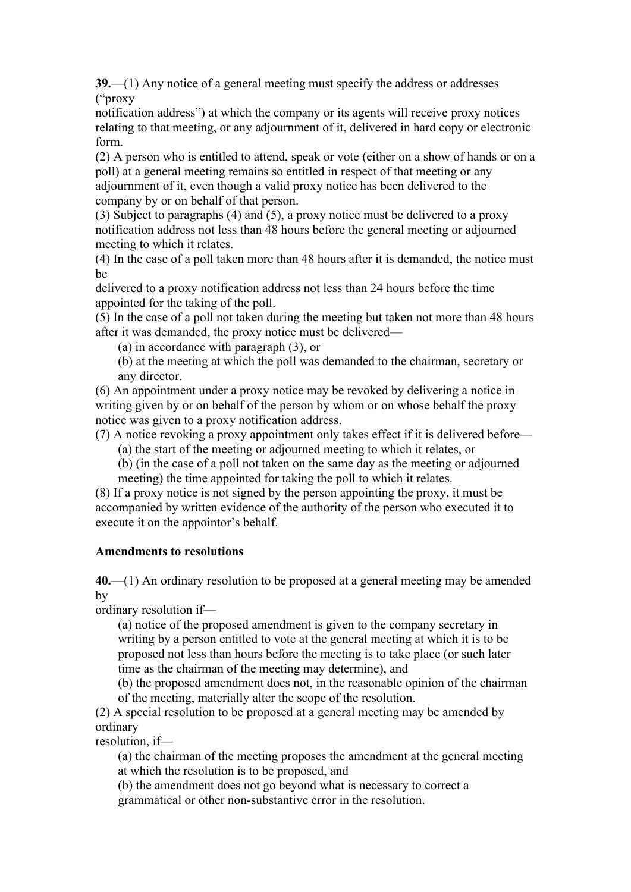**39.**—(1) Any notice of a general meeting must specify the address or addresses ("proxy

notification address") at which the company or its agents will receive proxy notices relating to that meeting, or any adjournment of it, delivered in hard copy or electronic form.

(2) A person who is entitled to attend, speak or vote (either on a show of hands or on a poll) at a general meeting remains so entitled in respect of that meeting or any adjournment of it, even though a valid proxy notice has been delivered to the company by or on behalf of that person.

(3) Subject to paragraphs (4) and (5), a proxy notice must be delivered to a proxy notification address not less than 48 hours before the general meeting or adjourned meeting to which it relates.

(4) In the case of a poll taken more than 48 hours after it is demanded, the notice must be

delivered to a proxy notification address not less than 24 hours before the time appointed for the taking of the poll.

(5) In the case of a poll not taken during the meeting but taken not more than 48 hours after it was demanded, the proxy notice must be delivered—

(a) in accordance with paragraph (3), or

(b) at the meeting at which the poll was demanded to the chairman, secretary or any director.

(6) An appointment under a proxy notice may be revoked by delivering a notice in writing given by or on behalf of the person by whom or on whose behalf the proxy notice was given to a proxy notification address.

(7) A notice revoking a proxy appointment only takes effect if it is delivered before—

(a) the start of the meeting or adjourned meeting to which it relates, or

(b) (in the case of a poll not taken on the same day as the meeting or adjourned meeting) the time appointed for taking the poll to which it relates.

(8) If a proxy notice is not signed by the person appointing the proxy, it must be accompanied by written evidence of the authority of the person who executed it to execute it on the appointor's behalf.

## **Amendments to resolutions**

**40.**—(1) An ordinary resolution to be proposed at a general meeting may be amended by

ordinary resolution if—

(a) notice of the proposed amendment is given to the company secretary in writing by a person entitled to vote at the general meeting at which it is to be proposed not less than hours before the meeting is to take place (or such later time as the chairman of the meeting may determine), and

(b) the proposed amendment does not, in the reasonable opinion of the chairman of the meeting, materially alter the scope of the resolution.

(2) A special resolution to be proposed at a general meeting may be amended by ordinary

resolution, if—

(a) the chairman of the meeting proposes the amendment at the general meeting at which the resolution is to be proposed, and

(b) the amendment does not go beyond what is necessary to correct a grammatical or other non-substantive error in the resolution.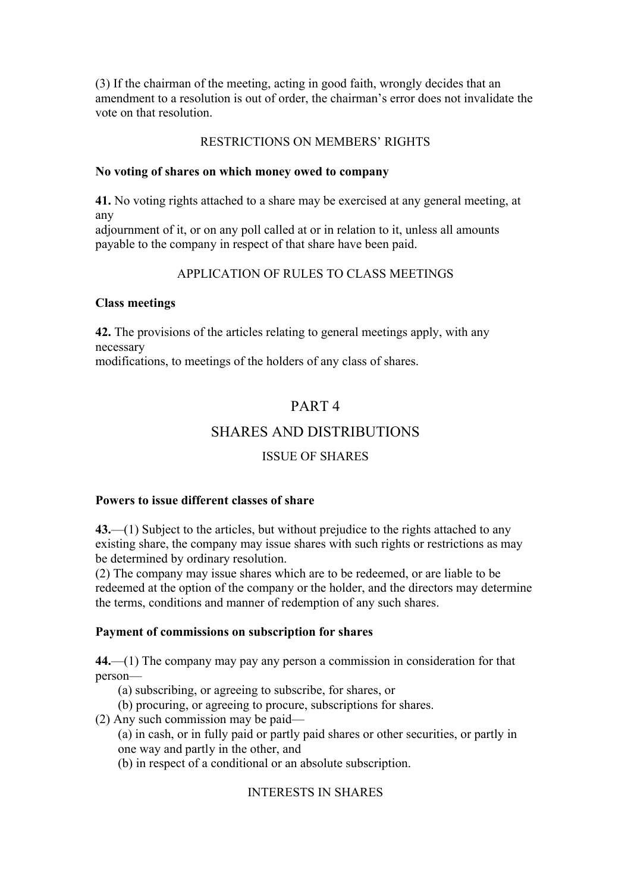(3) If the chairman of the meeting, acting in good faith, wrongly decides that an amendment to a resolution is out of order, the chairman's error does not invalidate the vote on that resolution.

## RESTRICTIONS ON MEMBERS' RIGHTS

#### **No voting of shares on which money owed to company**

**41.** No voting rights attached to a share may be exercised at any general meeting, at any

adjournment of it, or on any poll called at or in relation to it, unless all amounts payable to the company in respect of that share have been paid.

#### APPLICATION OF RULES TO CLASS MEETINGS

#### **Class meetings**

**42.** The provisions of the articles relating to general meetings apply, with any necessary

modifications, to meetings of the holders of any class of shares.

# PART 4

# SHARES AND DISTRIBUTIONS

## ISSUE OF SHARES

#### **Powers to issue different classes of share**

**43.**—(1) Subject to the articles, but without prejudice to the rights attached to any existing share, the company may issue shares with such rights or restrictions as may be determined by ordinary resolution.

(2) The company may issue shares which are to be redeemed, or are liable to be redeemed at the option of the company or the holder, and the directors may determine the terms, conditions and manner of redemption of any such shares.

#### **Payment of commissions on subscription for shares**

**44.**—(1) The company may pay any person a commission in consideration for that person—

(a) subscribing, or agreeing to subscribe, for shares, or

(b) procuring, or agreeing to procure, subscriptions for shares.

(2) Any such commission may be paid—

(a) in cash, or in fully paid or partly paid shares or other securities, or partly in one way and partly in the other, and

(b) in respect of a conditional or an absolute subscription.

## INTERESTS IN SHARES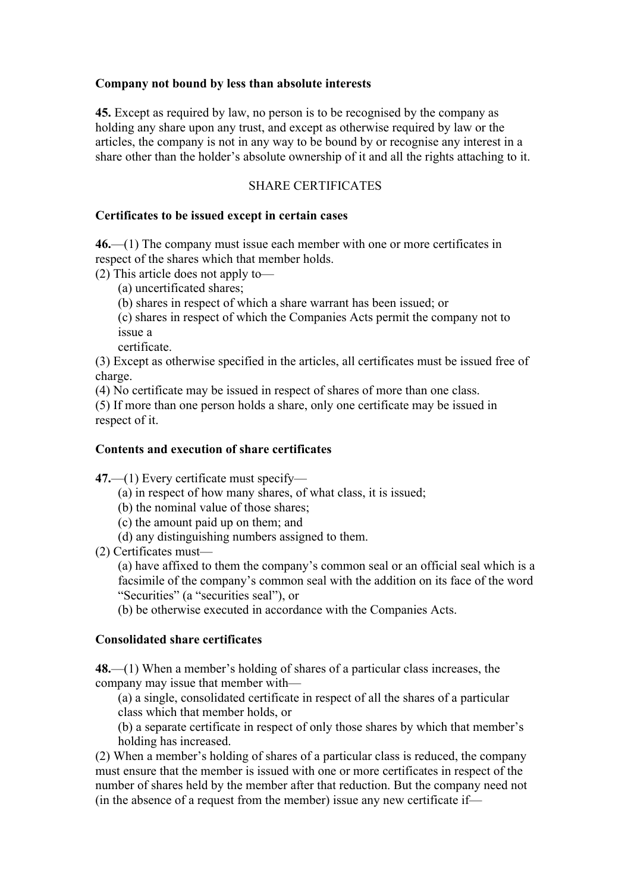### **Company not bound by less than absolute interests**

**45.** Except as required by law, no person is to be recognised by the company as holding any share upon any trust, and except as otherwise required by law or the articles, the company is not in any way to be bound by or recognise any interest in a share other than the holder's absolute ownership of it and all the rights attaching to it.

### SHARE CERTIFICATES

### **Certificates to be issued except in certain cases**

**46.**—(1) The company must issue each member with one or more certificates in respect of the shares which that member holds.

(2) This article does not apply to—

(a) uncertificated shares;

(b) shares in respect of which a share warrant has been issued; or

(c) shares in respect of which the Companies Acts permit the company not to issue a

certificate.

(3) Except as otherwise specified in the articles, all certificates must be issued free of charge.

(4) No certificate may be issued in respect of shares of more than one class.

(5) If more than one person holds a share, only one certificate may be issued in respect of it.

#### **Contents and execution of share certificates**

**47.**—(1) Every certificate must specify—

- (a) in respect of how many shares, of what class, it is issued;
- (b) the nominal value of those shares;

(c) the amount paid up on them; and

(d) any distinguishing numbers assigned to them.

(2) Certificates must—

(a) have affixed to them the company's common seal or an official seal which is a facsimile of the company's common seal with the addition on its face of the word "Securities" (a "securities seal"), or

(b) be otherwise executed in accordance with the Companies Acts.

#### **Consolidated share certificates**

**48.**—(1) When a member's holding of shares of a particular class increases, the company may issue that member with—

(a) a single, consolidated certificate in respect of all the shares of a particular class which that member holds, or

(b) a separate certificate in respect of only those shares by which that member's holding has increased.

(2) When a member's holding of shares of a particular class is reduced, the company must ensure that the member is issued with one or more certificates in respect of the number of shares held by the member after that reduction. But the company need not (in the absence of a request from the member) issue any new certificate if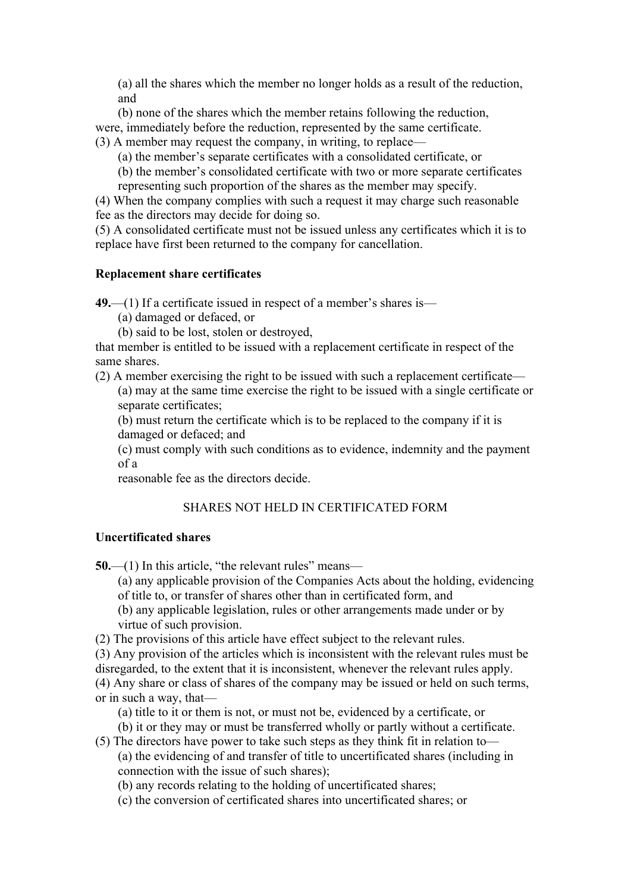(a) all the shares which the member no longer holds as a result of the reduction, and

(b) none of the shares which the member retains following the reduction, were, immediately before the reduction, represented by the same certificate. (3) A member may request the company, in writing, to replace—

(a) the member's separate certificates with a consolidated certificate, or

(b) the member's consolidated certificate with two or more separate certificates representing such proportion of the shares as the member may specify.

(4) When the company complies with such a request it may charge such reasonable fee as the directors may decide for doing so.

(5) A consolidated certificate must not be issued unless any certificates which it is to replace have first been returned to the company for cancellation.

#### **Replacement share certificates**

**49.**—(1) If a certificate issued in respect of a member's shares is—

(a) damaged or defaced, or

(b) said to be lost, stolen or destroyed,

that member is entitled to be issued with a replacement certificate in respect of the same shares.

(2) A member exercising the right to be issued with such a replacement certificate—

(a) may at the same time exercise the right to be issued with a single certificate or separate certificates;

(b) must return the certificate which is to be replaced to the company if it is damaged or defaced; and

(c) must comply with such conditions as to evidence, indemnity and the payment of a

reasonable fee as the directors decide.

## SHARES NOT HELD IN CERTIFICATED FORM

## **Uncertificated shares**

**50.**—(1) In this article, "the relevant rules" means—

(a) any applicable provision of the Companies Acts about the holding, evidencing of title to, or transfer of shares other than in certificated form, and

(b) any applicable legislation, rules or other arrangements made under or by virtue of such provision.

(2) The provisions of this article have effect subject to the relevant rules.

(3) Any provision of the articles which is inconsistent with the relevant rules must be disregarded, to the extent that it is inconsistent, whenever the relevant rules apply.

(4) Any share or class of shares of the company may be issued or held on such terms, or in such a way, that—

(a) title to it or them is not, or must not be, evidenced by a certificate, or

(b) it or they may or must be transferred wholly or partly without a certificate.

(5) The directors have power to take such steps as they think fit in relation to— (a) the evidencing of and transfer of title to uncertificated shares (including in connection with the issue of such shares);

(b) any records relating to the holding of uncertificated shares;

(c) the conversion of certificated shares into uncertificated shares; or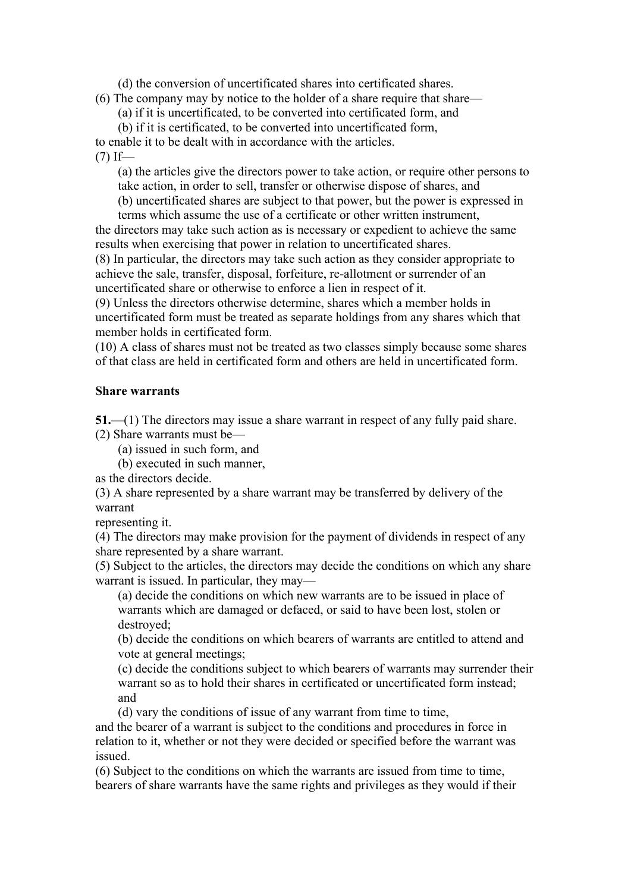(d) the conversion of uncertificated shares into certificated shares.

(6) The company may by notice to the holder of a share require that share—

(a) if it is uncertificated, to be converted into certificated form, and

(b) if it is certificated, to be converted into uncertificated form,

to enable it to be dealt with in accordance with the articles.

 $(7)$  If—

(a) the articles give the directors power to take action, or require other persons to take action, in order to sell, transfer or otherwise dispose of shares, and (b) uncertificated shares are subject to that power, but the power is expressed in terms which assume the use of a certificate or other written instrument,

the directors may take such action as is necessary or expedient to achieve the same results when exercising that power in relation to uncertificated shares.

(8) In particular, the directors may take such action as they consider appropriate to achieve the sale, transfer, disposal, forfeiture, re-allotment or surrender of an uncertificated share or otherwise to enforce a lien in respect of it.

(9) Unless the directors otherwise determine, shares which a member holds in uncertificated form must be treated as separate holdings from any shares which that member holds in certificated form.

(10) A class of shares must not be treated as two classes simply because some shares of that class are held in certificated form and others are held in uncertificated form.

### **Share warrants**

**51.**—(1) The directors may issue a share warrant in respect of any fully paid share. (2) Share warrants must be—

(a) issued in such form, and

(b) executed in such manner,

as the directors decide.

(3) A share represented by a share warrant may be transferred by delivery of the warrant

representing it.

(4) The directors may make provision for the payment of dividends in respect of any share represented by a share warrant.

(5) Subject to the articles, the directors may decide the conditions on which any share warrant is issued. In particular, they may—

(a) decide the conditions on which new warrants are to be issued in place of warrants which are damaged or defaced, or said to have been lost, stolen or destroyed;

(b) decide the conditions on which bearers of warrants are entitled to attend and vote at general meetings;

(c) decide the conditions subject to which bearers of warrants may surrender their warrant so as to hold their shares in certificated or uncertificated form instead; and

(d) vary the conditions of issue of any warrant from time to time, and the bearer of a warrant is subject to the conditions and procedures in force in relation to it, whether or not they were decided or specified before the warrant was issued.

(6) Subject to the conditions on which the warrants are issued from time to time, bearers of share warrants have the same rights and privileges as they would if their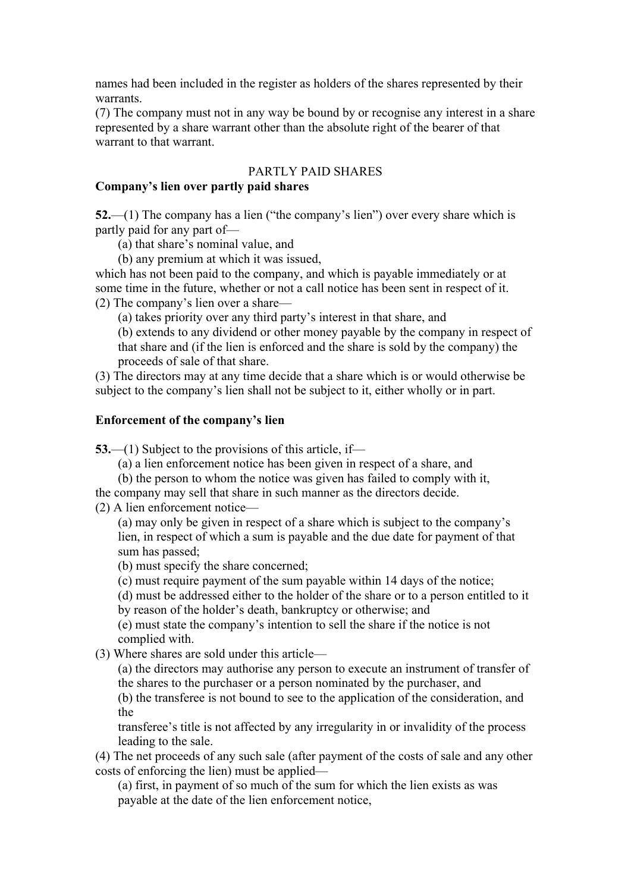names had been included in the register as holders of the shares represented by their warrants.

(7) The company must not in any way be bound by or recognise any interest in a share represented by a share warrant other than the absolute right of the bearer of that warrant to that warrant.

### PARTLY PAID SHARES

#### **Company's lien over partly paid shares**

**52.**—(1) The company has a lien ("the company's lien") over every share which is partly paid for any part of—

(a) that share's nominal value, and

(b) any premium at which it was issued,

which has not been paid to the company, and which is payable immediately or at some time in the future, whether or not a call notice has been sent in respect of it. (2) The company's lien over a share—

(a) takes priority over any third party's interest in that share, and

(b) extends to any dividend or other money payable by the company in respect of that share and (if the lien is enforced and the share is sold by the company) the proceeds of sale of that share.

(3) The directors may at any time decide that a share which is or would otherwise be subject to the company's lien shall not be subject to it, either wholly or in part.

#### **Enforcement of the company's lien**

**53.**—(1) Subject to the provisions of this article, if—

(a) a lien enforcement notice has been given in respect of a share, and

(b) the person to whom the notice was given has failed to comply with it,

the company may sell that share in such manner as the directors decide.

(2) A lien enforcement notice—

(a) may only be given in respect of a share which is subject to the company's lien, in respect of which a sum is payable and the due date for payment of that sum has passed;

(b) must specify the share concerned;

(c) must require payment of the sum payable within 14 days of the notice;

(d) must be addressed either to the holder of the share or to a person entitled to it by reason of the holder's death, bankruptcy or otherwise; and

(e) must state the company's intention to sell the share if the notice is not complied with.

(3) Where shares are sold under this article—

(a) the directors may authorise any person to execute an instrument of transfer of the shares to the purchaser or a person nominated by the purchaser, and

(b) the transferee is not bound to see to the application of the consideration, and the

transferee's title is not affected by any irregularity in or invalidity of the process leading to the sale.

(4) The net proceeds of any such sale (after payment of the costs of sale and any other costs of enforcing the lien) must be applied—

(a) first, in payment of so much of the sum for which the lien exists as was payable at the date of the lien enforcement notice,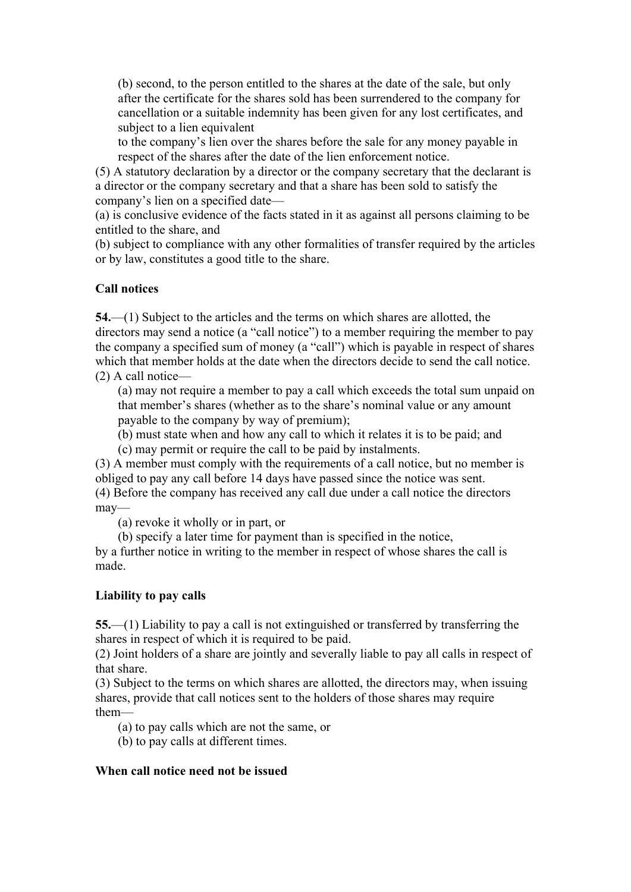(b) second, to the person entitled to the shares at the date of the sale, but only after the certificate for the shares sold has been surrendered to the company for cancellation or a suitable indemnity has been given for any lost certificates, and subject to a lien equivalent

to the company's lien over the shares before the sale for any money payable in respect of the shares after the date of the lien enforcement notice.

(5) A statutory declaration by a director or the company secretary that the declarant is a director or the company secretary and that a share has been sold to satisfy the company's lien on a specified date—

(a) is conclusive evidence of the facts stated in it as against all persons claiming to be entitled to the share, and

(b) subject to compliance with any other formalities of transfer required by the articles or by law, constitutes a good title to the share.

#### **Call notices**

**54.**—(1) Subject to the articles and the terms on which shares are allotted, the directors may send a notice (a "call notice") to a member requiring the member to pay the company a specified sum of money (a "call") which is payable in respect of shares which that member holds at the date when the directors decide to send the call notice. (2) A call notice—

(a) may not require a member to pay a call which exceeds the total sum unpaid on that member's shares (whether as to the share's nominal value or any amount payable to the company by way of premium);

(b) must state when and how any call to which it relates it is to be paid; and (c) may permit or require the call to be paid by instalments.

(3) A member must comply with the requirements of a call notice, but no member is obliged to pay any call before 14 days have passed since the notice was sent.

(4) Before the company has received any call due under a call notice the directors may—

(a) revoke it wholly or in part, or

(b) specify a later time for payment than is specified in the notice,

by a further notice in writing to the member in respect of whose shares the call is made.

#### **Liability to pay calls**

**55.**—(1) Liability to pay a call is not extinguished or transferred by transferring the shares in respect of which it is required to be paid.

(2) Joint holders of a share are jointly and severally liable to pay all calls in respect of that share.

(3) Subject to the terms on which shares are allotted, the directors may, when issuing shares, provide that call notices sent to the holders of those shares may require them—

(a) to pay calls which are not the same, or

(b) to pay calls at different times.

#### **When call notice need not be issued**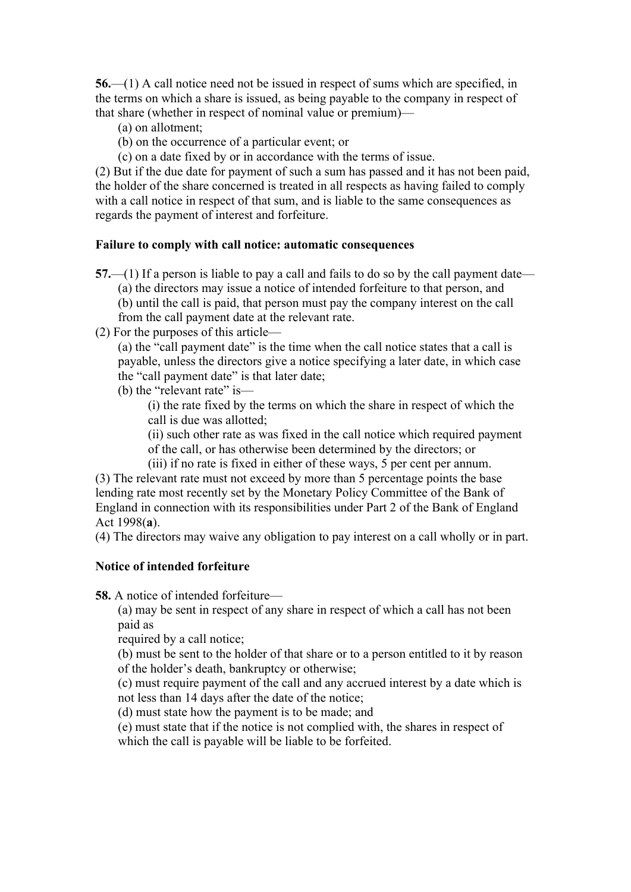**56.**—(1) A call notice need not be issued in respect of sums which are specified, in the terms on which a share is issued, as being payable to the company in respect of that share (whether in respect of nominal value or premium)—

- (a) on allotment;
- (b) on the occurrence of a particular event; or
- (c) on a date fixed by or in accordance with the terms of issue.

(2) But if the due date for payment of such a sum has passed and it has not been paid, the holder of the share concerned is treated in all respects as having failed to comply with a call notice in respect of that sum, and is liable to the same consequences as regards the payment of interest and forfeiture.

### **Failure to comply with call notice: automatic consequences**

**57.**—(1) If a person is liable to pay a call and fails to do so by the call payment date— (a) the directors may issue a notice of intended forfeiture to that person, and (b) until the call is paid, that person must pay the company interest on the call from the call payment date at the relevant rate.

(2) For the purposes of this article—

(a) the "call payment date" is the time when the call notice states that a call is payable, unless the directors give a notice specifying a later date, in which case the "call payment date" is that later date;

(b) the "relevant rate" is—

(i) the rate fixed by the terms on which the share in respect of which the call is due was allotted;

(ii) such other rate as was fixed in the call notice which required payment

of the call, or has otherwise been determined by the directors; or

(iii) if no rate is fixed in either of these ways, 5 per cent per annum. (3) The relevant rate must not exceed by more than 5 percentage points the base lending rate most recently set by the Monetary Policy Committee of the Bank of England in connection with its responsibilities under Part 2 of the Bank of England

Act 1998(**a**).

(4) The directors may waive any obligation to pay interest on a call wholly or in part.

#### **Notice of intended forfeiture**

**58.** A notice of intended forfeiture—

(a) may be sent in respect of any share in respect of which a call has not been paid as

required by a call notice;

(b) must be sent to the holder of that share or to a person entitled to it by reason of the holder's death, bankruptcy or otherwise;

(c) must require payment of the call and any accrued interest by a date which is not less than 14 days after the date of the notice;

(d) must state how the payment is to be made; and

(e) must state that if the notice is not complied with, the shares in respect of which the call is payable will be liable to be forfeited.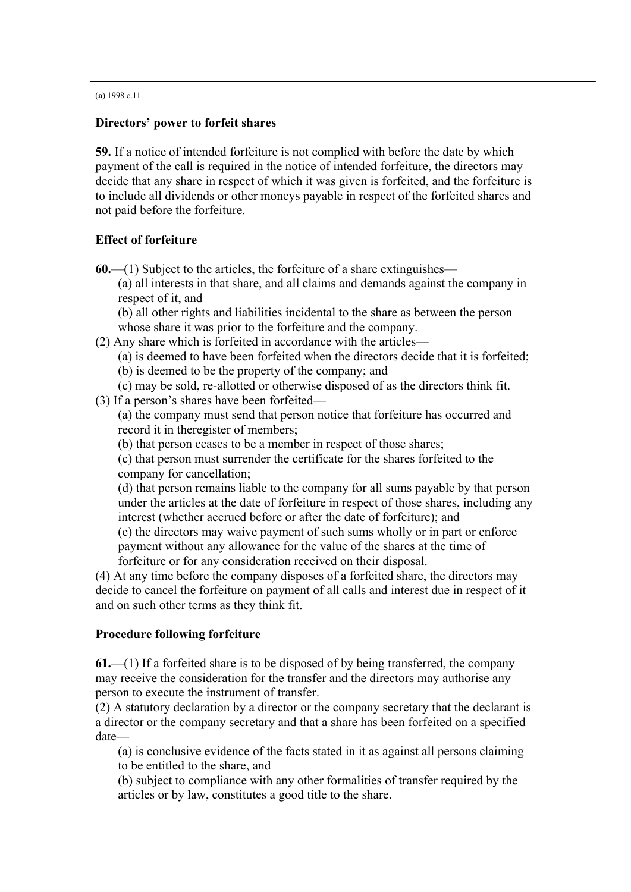(**a**) 1998 c.11.

#### **Directors' power to forfeit shares**

**59.** If a notice of intended forfeiture is not complied with before the date by which payment of the call is required in the notice of intended forfeiture, the directors may decide that any share in respect of which it was given is forfeited, and the forfeiture is to include all dividends or other moneys payable in respect of the forfeited shares and not paid before the forfeiture.

### **Effect of forfeiture**

**60.**—(1) Subject to the articles, the forfeiture of a share extinguishes—

(a) all interests in that share, and all claims and demands against the company in respect of it, and

(b) all other rights and liabilities incidental to the share as between the person whose share it was prior to the forfeiture and the company.

(2) Any share which is forfeited in accordance with the articles—

(a) is deemed to have been forfeited when the directors decide that it is forfeited; (b) is deemed to be the property of the company; and

(c) may be sold, re-allotted or otherwise disposed of as the directors think fit.

(3) If a person's shares have been forfeited—

(a) the company must send that person notice that forfeiture has occurred and record it in theregister of members;

(b) that person ceases to be a member in respect of those shares;

(c) that person must surrender the certificate for the shares forfeited to the company for cancellation;

(d) that person remains liable to the company for all sums payable by that person under the articles at the date of forfeiture in respect of those shares, including any interest (whether accrued before or after the date of forfeiture); and

(e) the directors may waive payment of such sums wholly or in part or enforce payment without any allowance for the value of the shares at the time of forfeiture or for any consideration received on their disposal.

(4) At any time before the company disposes of a forfeited share, the directors may decide to cancel the forfeiture on payment of all calls and interest due in respect of it and on such other terms as they think fit.

#### **Procedure following forfeiture**

**61.**—(1) If a forfeited share is to be disposed of by being transferred, the company may receive the consideration for the transfer and the directors may authorise any person to execute the instrument of transfer.

(2) A statutory declaration by a director or the company secretary that the declarant is a director or the company secretary and that a share has been forfeited on a specified date—

(a) is conclusive evidence of the facts stated in it as against all persons claiming to be entitled to the share, and

(b) subject to compliance with any other formalities of transfer required by the articles or by law, constitutes a good title to the share.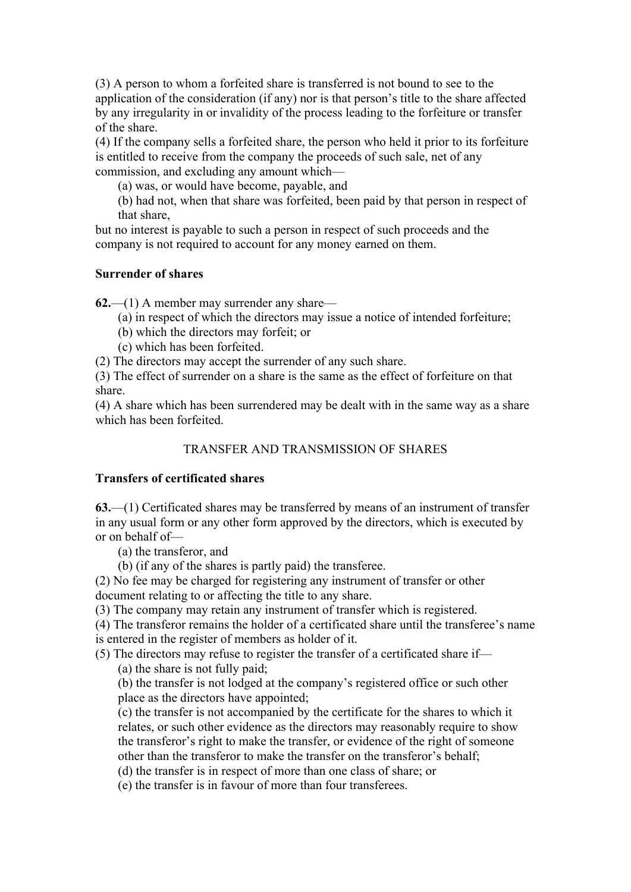(3) A person to whom a forfeited share is transferred is not bound to see to the application of the consideration (if any) nor is that person's title to the share affected by any irregularity in or invalidity of the process leading to the forfeiture or transfer of the share.

(4) If the company sells a forfeited share, the person who held it prior to its forfeiture is entitled to receive from the company the proceeds of such sale, net of any commission, and excluding any amount which—

(a) was, or would have become, payable, and

(b) had not, when that share was forfeited, been paid by that person in respect of that share,

but no interest is payable to such a person in respect of such proceeds and the company is not required to account for any money earned on them.

#### **Surrender of shares**

**62.**—(1) A member may surrender any share—

(a) in respect of which the directors may issue a notice of intended forfeiture;

- (b) which the directors may forfeit; or
- (c) which has been forfeited.

(2) The directors may accept the surrender of any such share.

(3) The effect of surrender on a share is the same as the effect of forfeiture on that share.

(4) A share which has been surrendered may be dealt with in the same way as a share which has been forfeited.

## TRANSFER AND TRANSMISSION OF SHARES

## **Transfers of certificated shares**

**63.**—(1) Certificated shares may be transferred by means of an instrument of transfer in any usual form or any other form approved by the directors, which is executed by or on behalf of—

(a) the transferor, and

(b) (if any of the shares is partly paid) the transferee.

(2) No fee may be charged for registering any instrument of transfer or other document relating to or affecting the title to any share.

(3) The company may retain any instrument of transfer which is registered.

(4) The transferor remains the holder of a certificated share until the transferee's name is entered in the register of members as holder of it.

(5) The directors may refuse to register the transfer of a certificated share if—

(a) the share is not fully paid;

(b) the transfer is not lodged at the company's registered office or such other place as the directors have appointed;

(c) the transfer is not accompanied by the certificate for the shares to which it relates, or such other evidence as the directors may reasonably require to show the transferor's right to make the transfer, or evidence of the right of someone other than the transferor to make the transfer on the transferor's behalf;

(d) the transfer is in respect of more than one class of share; or

(e) the transfer is in favour of more than four transferees.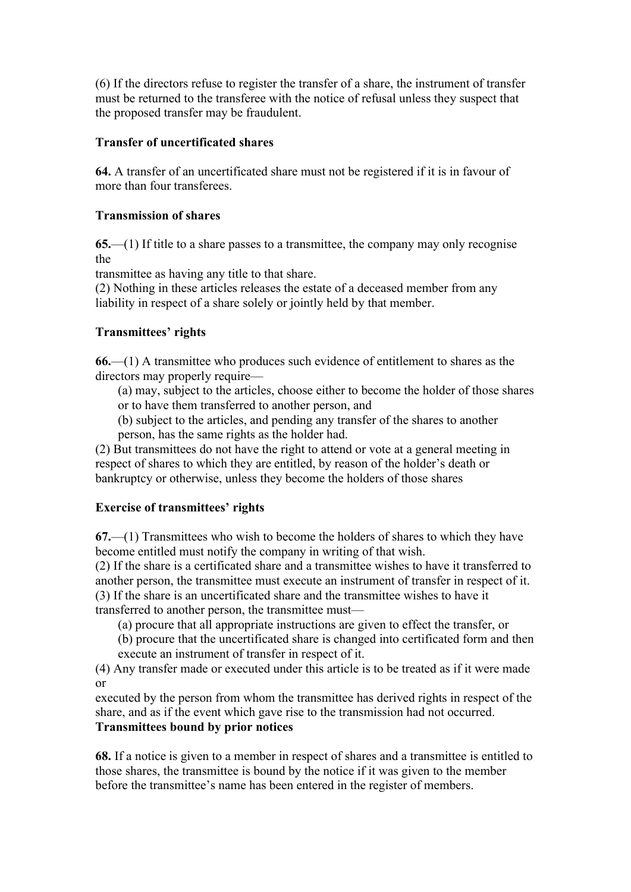(6) If the directors refuse to register the transfer of a share, the instrument of transfer must be returned to the transferee with the notice of refusal unless they suspect that the proposed transfer may be fraudulent.

## **Transfer of uncertificated shares**

**64.** A transfer of an uncertificated share must not be registered if it is in favour of more than four transferees.

## **Transmission of shares**

**65.**—(1) If title to a share passes to a transmittee, the company may only recognise the

transmittee as having any title to that share.

(2) Nothing in these articles releases the estate of a deceased member from any liability in respect of a share solely or jointly held by that member.

## **Transmittees' rights**

**66.**—(1) A transmittee who produces such evidence of entitlement to shares as the directors may properly require—

(a) may, subject to the articles, choose either to become the holder of those shares or to have them transferred to another person, and

(b) subject to the articles, and pending any transfer of the shares to another person, has the same rights as the holder had.

(2) But transmittees do not have the right to attend or vote at a general meeting in respect of shares to which they are entitled, by reason of the holder's death or bankruptcy or otherwise, unless they become the holders of those shares

#### **Exercise of transmittees' rights**

**67.**—(1) Transmittees who wish to become the holders of shares to which they have become entitled must notify the company in writing of that wish.

(2) If the share is a certificated share and a transmittee wishes to have it transferred to another person, the transmittee must execute an instrument of transfer in respect of it. (3) If the share is an uncertificated share and the transmittee wishes to have it transferred to another person, the transmittee must—

(a) procure that all appropriate instructions are given to effect the transfer, or

(b) procure that the uncertificated share is changed into certificated form and then execute an instrument of transfer in respect of it.

(4) Any transfer made or executed under this article is to be treated as if it were made or

executed by the person from whom the transmittee has derived rights in respect of the share, and as if the event which gave rise to the transmission had not occurred. **Transmittees bound by prior notices**

**68.** If a notice is given to a member in respect of shares and a transmittee is entitled to those shares, the transmittee is bound by the notice if it was given to the member before the transmittee's name has been entered in the register of members.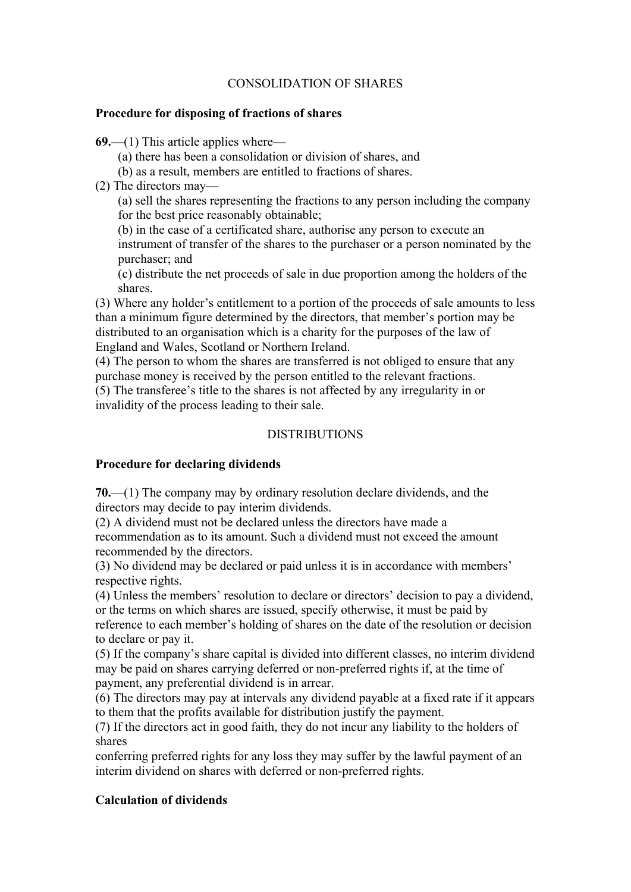#### CONSOLIDATION OF SHARES

#### **Procedure for disposing of fractions of shares**

**69.**—(1) This article applies where—

(a) there has been a consolidation or division of shares, and

(b) as a result, members are entitled to fractions of shares.

(2) The directors may—

(a) sell the shares representing the fractions to any person including the company for the best price reasonably obtainable;

(b) in the case of a certificated share, authorise any person to execute an instrument of transfer of the shares to the purchaser or a person nominated by the purchaser; and

(c) distribute the net proceeds of sale in due proportion among the holders of the shares.

(3) Where any holder's entitlement to a portion of the proceeds of sale amounts to less than a minimum figure determined by the directors, that member's portion may be distributed to an organisation which is a charity for the purposes of the law of England and Wales, Scotland or Northern Ireland.

(4) The person to whom the shares are transferred is not obliged to ensure that any purchase money is received by the person entitled to the relevant fractions. (5) The transferee's title to the shares is not affected by any irregularity in or invalidity of the process leading to their sale.

## DISTRIBUTIONS

## **Procedure for declaring dividends**

**70.**—(1) The company may by ordinary resolution declare dividends, and the directors may decide to pay interim dividends.

(2) A dividend must not be declared unless the directors have made a recommendation as to its amount. Such a dividend must not exceed the amount recommended by the directors.

(3) No dividend may be declared or paid unless it is in accordance with members' respective rights.

(4) Unless the members' resolution to declare or directors' decision to pay a dividend, or the terms on which shares are issued, specify otherwise, it must be paid by reference to each member's holding of shares on the date of the resolution or decision

to declare or pay it.

(5) If the company's share capital is divided into different classes, no interim dividend may be paid on shares carrying deferred or non-preferred rights if, at the time of payment, any preferential dividend is in arrear.

(6) The directors may pay at intervals any dividend payable at a fixed rate if it appears to them that the profits available for distribution justify the payment.

(7) If the directors act in good faith, they do not incur any liability to the holders of shares

conferring preferred rights for any loss they may suffer by the lawful payment of an interim dividend on shares with deferred or non-preferred rights.

## **Calculation of dividends**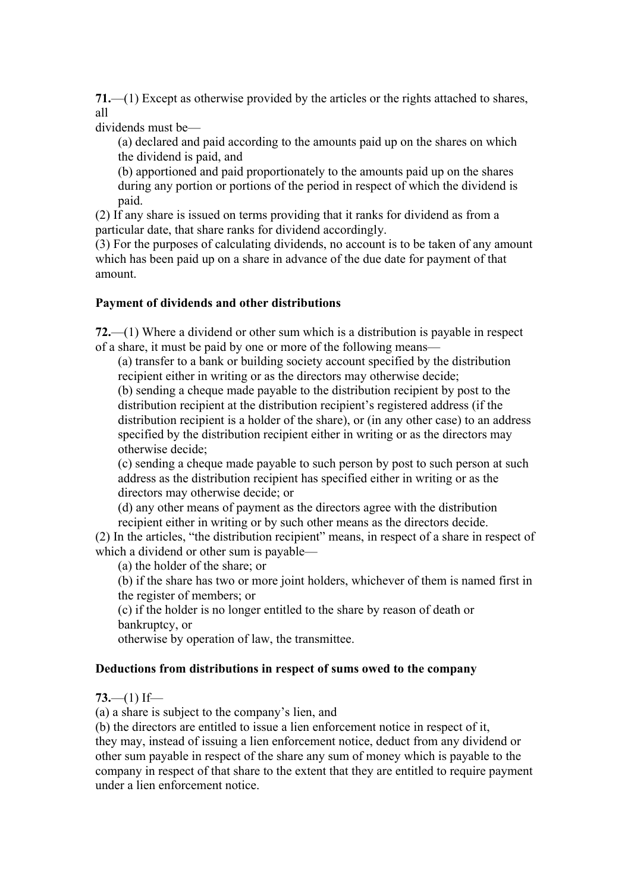**71.**—(1) Except as otherwise provided by the articles or the rights attached to shares, all

dividends must be—

(a) declared and paid according to the amounts paid up on the shares on which the dividend is paid, and

(b) apportioned and paid proportionately to the amounts paid up on the shares during any portion or portions of the period in respect of which the dividend is paid.

(2) If any share is issued on terms providing that it ranks for dividend as from a particular date, that share ranks for dividend accordingly.

(3) For the purposes of calculating dividends, no account is to be taken of any amount which has been paid up on a share in advance of the due date for payment of that amount.

### **Payment of dividends and other distributions**

**72.**—(1) Where a dividend or other sum which is a distribution is payable in respect of a share, it must be paid by one or more of the following means—

(a) transfer to a bank or building society account specified by the distribution recipient either in writing or as the directors may otherwise decide;

(b) sending a cheque made payable to the distribution recipient by post to the distribution recipient at the distribution recipient's registered address (if the distribution recipient is a holder of the share), or (in any other case) to an address specified by the distribution recipient either in writing or as the directors may otherwise decide;

(c) sending a cheque made payable to such person by post to such person at such address as the distribution recipient has specified either in writing or as the directors may otherwise decide; or

(d) any other means of payment as the directors agree with the distribution recipient either in writing or by such other means as the directors decide.

(2) In the articles, "the distribution recipient" means, in respect of a share in respect of which a dividend or other sum is payable—

(a) the holder of the share; or

(b) if the share has two or more joint holders, whichever of them is named first in the register of members; or

(c) if the holder is no longer entitled to the share by reason of death or bankruptcy, or

otherwise by operation of law, the transmittee.

#### **Deductions from distributions in respect of sums owed to the company**

## $73$ ,—(1) If—

(a) a share is subject to the company's lien, and

(b) the directors are entitled to issue a lien enforcement notice in respect of it, they may, instead of issuing a lien enforcement notice, deduct from any dividend or other sum payable in respect of the share any sum of money which is payable to the company in respect of that share to the extent that they are entitled to require payment under a lien enforcement notice.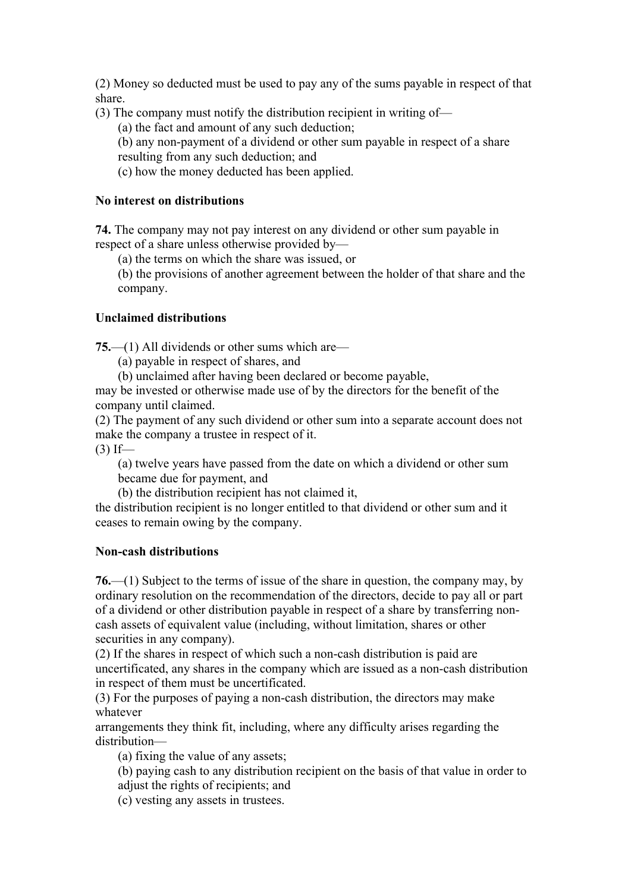(2) Money so deducted must be used to pay any of the sums payable in respect of that share.

(3) The company must notify the distribution recipient in writing of—

(a) the fact and amount of any such deduction;

(b) any non-payment of a dividend or other sum payable in respect of a share resulting from any such deduction; and

(c) how the money deducted has been applied.

#### **No interest on distributions**

**74.** The company may not pay interest on any dividend or other sum payable in respect of a share unless otherwise provided by—

(a) the terms on which the share was issued, or

(b) the provisions of another agreement between the holder of that share and the company.

## **Unclaimed distributions**

**75.**—(1) All dividends or other sums which are—

- (a) payable in respect of shares, and
- (b) unclaimed after having been declared or become payable,

may be invested or otherwise made use of by the directors for the benefit of the company until claimed.

(2) The payment of any such dividend or other sum into a separate account does not make the company a trustee in respect of it.

 $(3)$  If—

(a) twelve years have passed from the date on which a dividend or other sum became due for payment, and

(b) the distribution recipient has not claimed it,

the distribution recipient is no longer entitled to that dividend or other sum and it ceases to remain owing by the company.

#### **Non-cash distributions**

**76.**—(1) Subject to the terms of issue of the share in question, the company may, by ordinary resolution on the recommendation of the directors, decide to pay all or part of a dividend or other distribution payable in respect of a share by transferring noncash assets of equivalent value (including, without limitation, shares or other securities in any company).

(2) If the shares in respect of which such a non-cash distribution is paid are uncertificated, any shares in the company which are issued as a non-cash distribution in respect of them must be uncertificated.

(3) For the purposes of paying a non-cash distribution, the directors may make whatever

arrangements they think fit, including, where any difficulty arises regarding the distribution—

(a) fixing the value of any assets;

(b) paying cash to any distribution recipient on the basis of that value in order to

adjust the rights of recipients; and

(c) vesting any assets in trustees.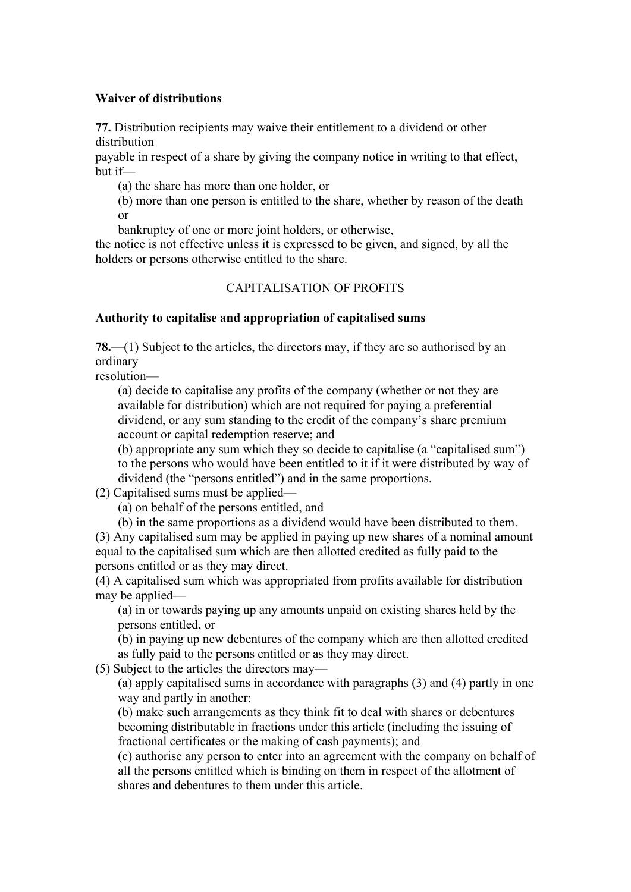#### **Waiver of distributions**

**77.** Distribution recipients may waive their entitlement to a dividend or other distribution

payable in respect of a share by giving the company notice in writing to that effect, but if—

(a) the share has more than one holder, or

(b) more than one person is entitled to the share, whether by reason of the death or

bankruptcy of one or more joint holders, or otherwise,

the notice is not effective unless it is expressed to be given, and signed, by all the holders or persons otherwise entitled to the share.

### CAPITALISATION OF PROFITS

#### **Authority to capitalise and appropriation of capitalised sums**

**78.**—(1) Subject to the articles, the directors may, if they are so authorised by an ordinary

resolution—

(a) decide to capitalise any profits of the company (whether or not they are available for distribution) which are not required for paying a preferential dividend, or any sum standing to the credit of the company's share premium account or capital redemption reserve; and

(b) appropriate any sum which they so decide to capitalise (a "capitalised sum") to the persons who would have been entitled to it if it were distributed by way of dividend (the "persons entitled") and in the same proportions.

#### (2) Capitalised sums must be applied—

(a) on behalf of the persons entitled, and

(b) in the same proportions as a dividend would have been distributed to them. (3) Any capitalised sum may be applied in paying up new shares of a nominal amount equal to the capitalised sum which are then allotted credited as fully paid to the persons entitled or as they may direct.

(4) A capitalised sum which was appropriated from profits available for distribution may be applied—

(a) in or towards paying up any amounts unpaid on existing shares held by the persons entitled, or

(b) in paying up new debentures of the company which are then allotted credited as fully paid to the persons entitled or as they may direct.

(5) Subject to the articles the directors may—

(a) apply capitalised sums in accordance with paragraphs (3) and (4) partly in one way and partly in another;

(b) make such arrangements as they think fit to deal with shares or debentures becoming distributable in fractions under this article (including the issuing of fractional certificates or the making of cash payments); and

(c) authorise any person to enter into an agreement with the company on behalf of all the persons entitled which is binding on them in respect of the allotment of shares and debentures to them under this article.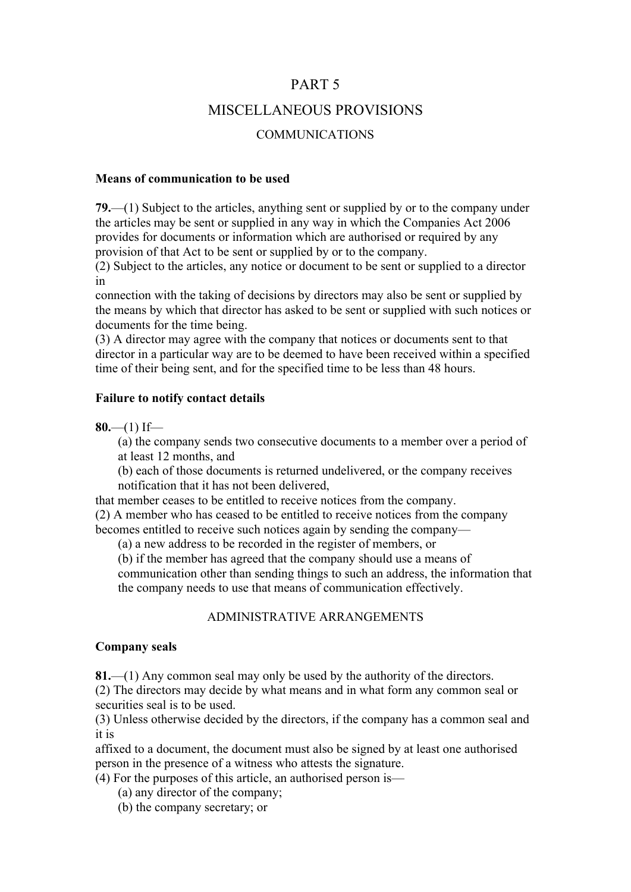# PART 5

# MISCELLANEOUS PROVISIONS

## COMMUNICATIONS

#### **Means of communication to be used**

**79.**—(1) Subject to the articles, anything sent or supplied by or to the company under the articles may be sent or supplied in any way in which the Companies Act 2006 provides for documents or information which are authorised or required by any provision of that Act to be sent or supplied by or to the company.

(2) Subject to the articles, any notice or document to be sent or supplied to a director in

connection with the taking of decisions by directors may also be sent or supplied by the means by which that director has asked to be sent or supplied with such notices or documents for the time being.

(3) A director may agree with the company that notices or documents sent to that director in a particular way are to be deemed to have been received within a specified time of their being sent, and for the specified time to be less than 48 hours.

### **Failure to notify contact details**

 $80$ —(1) If—

(a) the company sends two consecutive documents to a member over a period of at least 12 months, and

(b) each of those documents is returned undelivered, or the company receives notification that it has not been delivered,

that member ceases to be entitled to receive notices from the company. (2) A member who has ceased to be entitled to receive notices from the company becomes entitled to receive such notices again by sending the company—

(a) a new address to be recorded in the register of members, or

(b) if the member has agreed that the company should use a means of

communication other than sending things to such an address, the information that the company needs to use that means of communication effectively.

## ADMINISTRATIVE ARRANGEMENTS

#### **Company seals**

**81.**—(1) Any common seal may only be used by the authority of the directors.

(2) The directors may decide by what means and in what form any common seal or securities seal is to be used.

(3) Unless otherwise decided by the directors, if the company has a common seal and it is

affixed to a document, the document must also be signed by at least one authorised person in the presence of a witness who attests the signature.

(4) For the purposes of this article, an authorised person is—

- (a) any director of the company;
- (b) the company secretary; or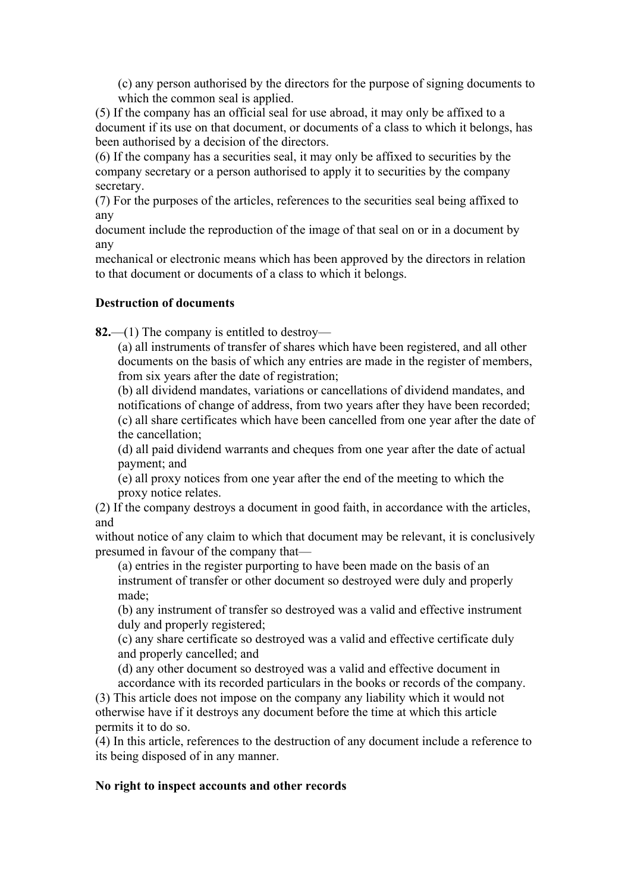(c) any person authorised by the directors for the purpose of signing documents to which the common seal is applied.

(5) If the company has an official seal for use abroad, it may only be affixed to a document if its use on that document, or documents of a class to which it belongs, has been authorised by a decision of the directors.

(6) If the company has a securities seal, it may only be affixed to securities by the company secretary or a person authorised to apply it to securities by the company secretary.

(7) For the purposes of the articles, references to the securities seal being affixed to any

document include the reproduction of the image of that seal on or in a document by any

mechanical or electronic means which has been approved by the directors in relation to that document or documents of a class to which it belongs.

## **Destruction of documents**

**82.**—(1) The company is entitled to destroy—

(a) all instruments of transfer of shares which have been registered, and all other documents on the basis of which any entries are made in the register of members, from six years after the date of registration;

(b) all dividend mandates, variations or cancellations of dividend mandates, and notifications of change of address, from two years after they have been recorded; (c) all share certificates which have been cancelled from one year after the date of the cancellation;

(d) all paid dividend warrants and cheques from one year after the date of actual payment; and

(e) all proxy notices from one year after the end of the meeting to which the proxy notice relates.

(2) If the company destroys a document in good faith, in accordance with the articles, and

without notice of any claim to which that document may be relevant, it is conclusively presumed in favour of the company that—

(a) entries in the register purporting to have been made on the basis of an instrument of transfer or other document so destroyed were duly and properly made;

(b) any instrument of transfer so destroyed was a valid and effective instrument duly and properly registered;

(c) any share certificate so destroyed was a valid and effective certificate duly and properly cancelled; and

(d) any other document so destroyed was a valid and effective document in accordance with its recorded particulars in the books or records of the company.

(3) This article does not impose on the company any liability which it would not otherwise have if it destroys any document before the time at which this article permits it to do so.

(4) In this article, references to the destruction of any document include a reference to its being disposed of in any manner.

## **No right to inspect accounts and other records**